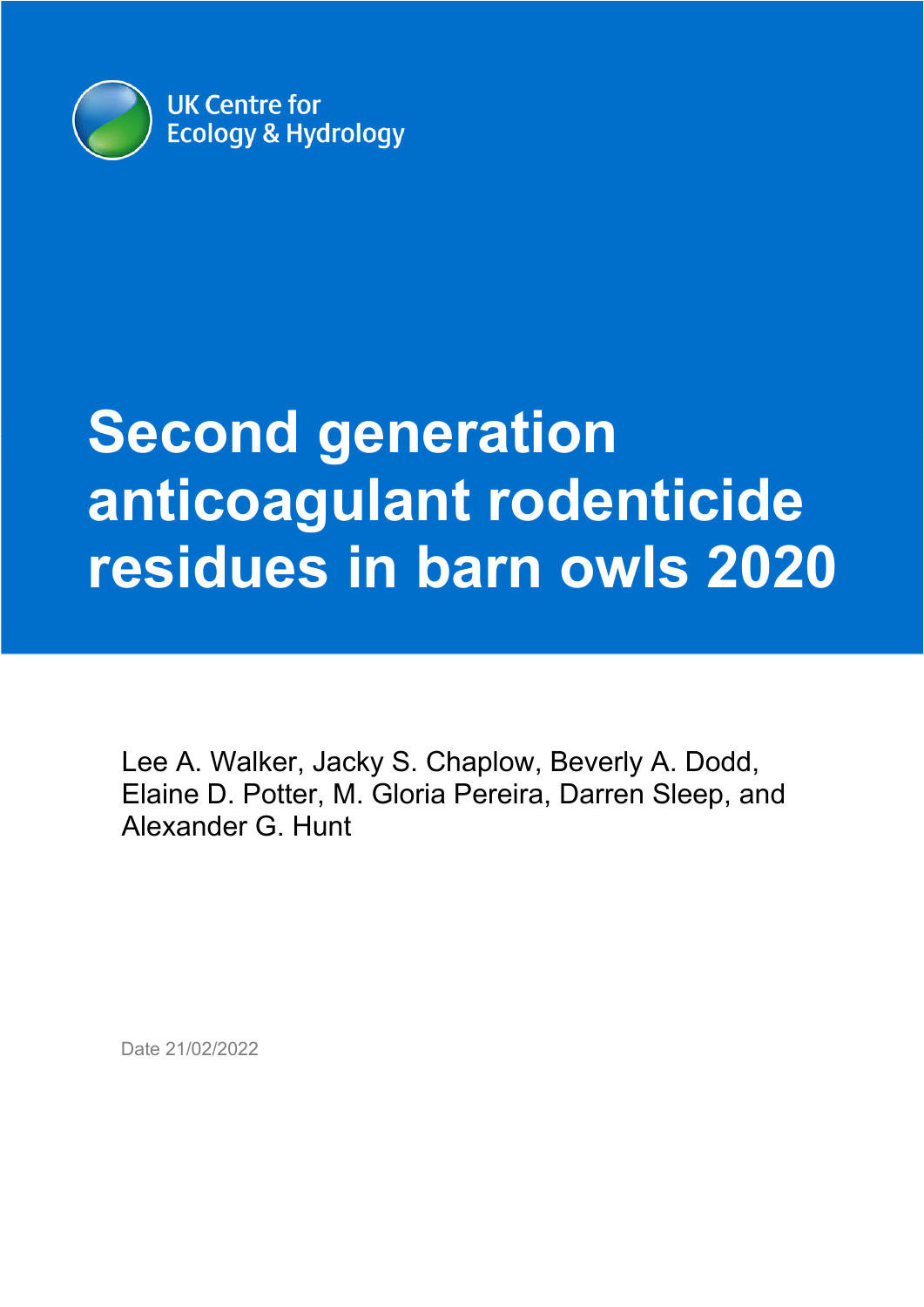

# **Second generation anticoagulant rodenticide residues in barn owls 2020**

Lee A. Walker, Jacky S. Chaplow, Beverly A. Dodd, Elaine D. Potter, M. Gloria Pereira, Darren Sleep, and Alexander G. Hunt

Date 21/02/2022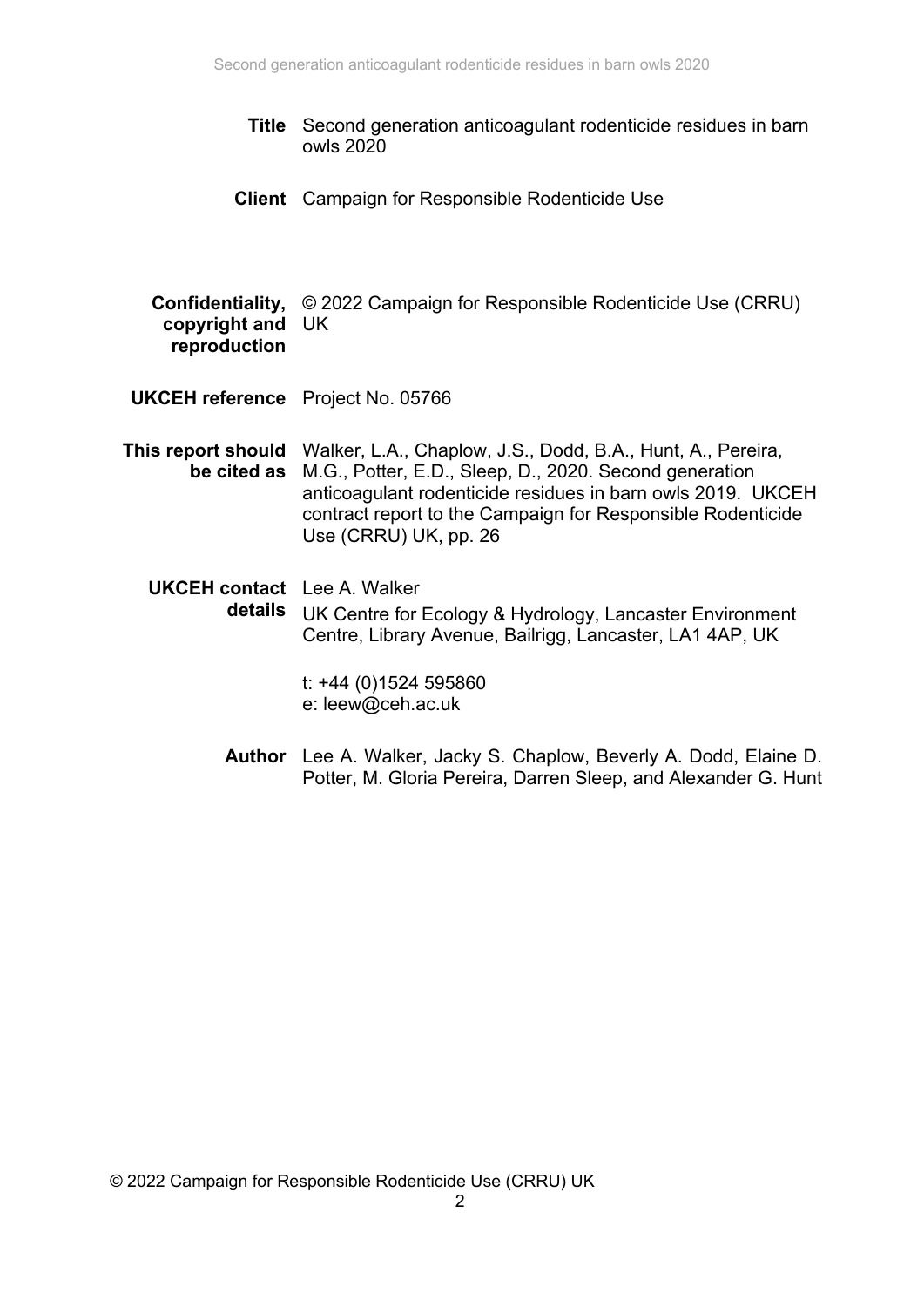- **Title** Second generation anticoagulant rodenticide residues in barn owls 2020
- **Client** Campaign for Responsible Rodenticide Use

**Confidentiality,**  © 2022 Campaign for Responsible Rodenticide Use (CRRU) **copyright and**  UK **reproduction** 

- **UKCEH reference** Project No. 05766
- **This report should**  Walker, L.A., Chaplow, J.S., Dodd, B.A., Hunt, A., Pereira, **be cited as**  M.G., Potter, E.D., Sleep, D., 2020. Second generation anticoagulant rodenticide residues in barn owls 2019. UKCEH contract report to the Campaign for Responsible Rodenticide Use (CRRU) UK, pp. 26
	- **UKCEH contact**  Lee A. Walker **details**  UK Centre for Ecology & Hydrology, Lancaster Environment Centre, Library Avenue, Bailrigg, Lancaster, LA1 4AP, UK

t: +44 (0)1524 595860 e: leew@ceh.ac.uk

**Author** Lee A. Walker, Jacky S. Chaplow, Beverly A. Dodd, Elaine D. Potter, M. Gloria Pereira, Darren Sleep, and Alexander G. Hunt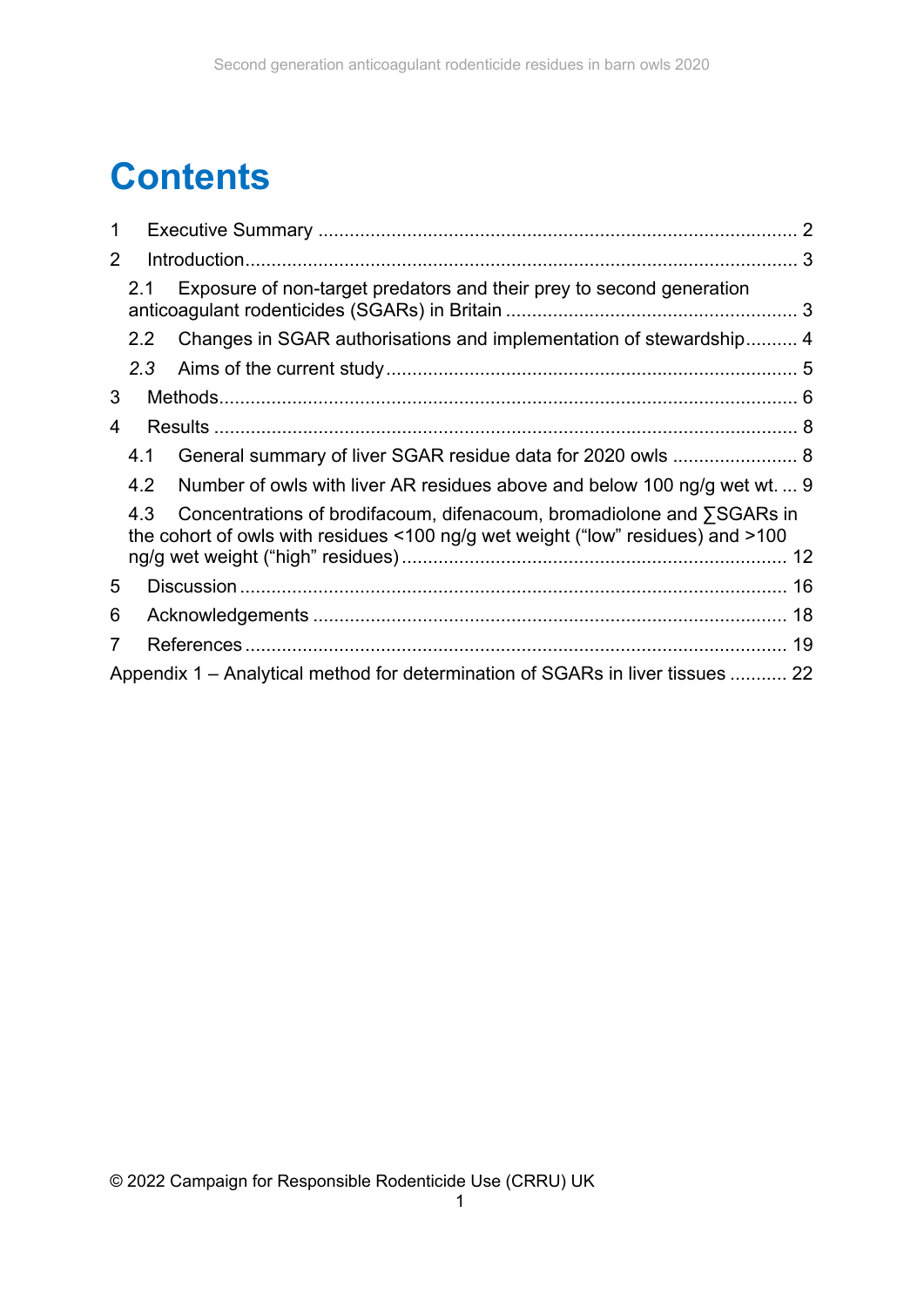# **Contents**

| 1              |                  |                                                                                                                                                          |    |  |  |  |  |
|----------------|------------------|----------------------------------------------------------------------------------------------------------------------------------------------------------|----|--|--|--|--|
| $\overline{2}$ |                  |                                                                                                                                                          |    |  |  |  |  |
|                | 2.1              | Exposure of non-target predators and their prey to second generation                                                                                     |    |  |  |  |  |
|                | 2.2 <sub>2</sub> | Changes in SGAR authorisations and implementation of stewardship 4                                                                                       |    |  |  |  |  |
|                |                  |                                                                                                                                                          |    |  |  |  |  |
| 3              |                  |                                                                                                                                                          |    |  |  |  |  |
| 4              |                  |                                                                                                                                                          |    |  |  |  |  |
|                | 4.1              |                                                                                                                                                          |    |  |  |  |  |
|                | 4.2              | Number of owls with liver AR residues above and below 100 ng/g wet wt.  9                                                                                |    |  |  |  |  |
|                | 4.3              | Concentrations of brodifacoum, difenacoum, bromadiolone and ∑SGARs in<br>the cohort of owls with residues <100 ng/g wet weight ("low" residues) and >100 |    |  |  |  |  |
|                |                  |                                                                                                                                                          |    |  |  |  |  |
| 5              |                  |                                                                                                                                                          |    |  |  |  |  |
| 6              |                  |                                                                                                                                                          |    |  |  |  |  |
| 7              |                  |                                                                                                                                                          | 19 |  |  |  |  |
|                |                  | Appendix 1 – Analytical method for determination of SGARs in liver tissues  22                                                                           |    |  |  |  |  |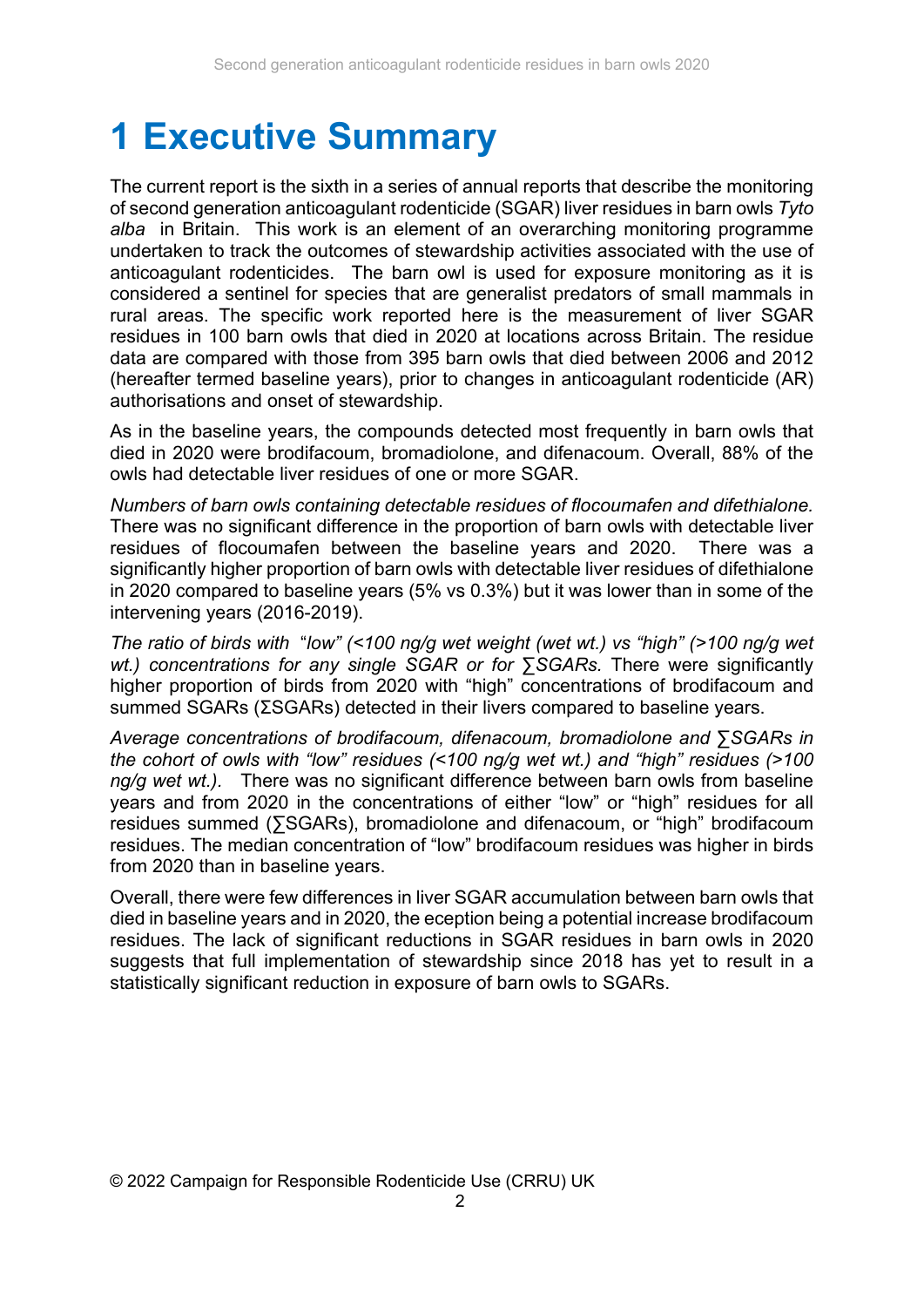# **1 Executive Summary**

The current report is the sixth in a series of annual reports that describe the monitoring of second generation anticoagulant rodenticide (SGAR) liver residues in barn owls *Tyto alba* in Britain. This work is an element of an overarching monitoring programme undertaken to track the outcomes of stewardship activities associated with the use of anticoagulant rodenticides. The barn owl is used for exposure monitoring as it is considered a sentinel for species that are generalist predators of small mammals in rural areas. The specific work reported here is the measurement of liver SGAR residues in 100 barn owls that died in 2020 at locations across Britain. The residue data are compared with those from 395 barn owls that died between 2006 and 2012 (hereafter termed baseline years), prior to changes in anticoagulant rodenticide (AR) authorisations and onset of stewardship.

As in the baseline years, the compounds detected most frequently in barn owls that died in 2020 were brodifacoum, bromadiolone, and difenacoum. Overall, 88% of the owls had detectable liver residues of one or more SGAR.

*Numbers of barn owls containing detectable residues of flocoumafen and difethialone.* There was no significant difference in the proportion of barn owls with detectable liver residues of flocoumafen between the baseline years and 2020. There was a significantly higher proportion of barn owls with detectable liver residues of difethialone in 2020 compared to baseline years (5% vs 0.3%) but it was lower than in some of the intervening years (2016-2019).

*The ratio of birds with* "*low" (<100 ng/g wet weight (wet wt.) vs "high" (>100 ng/g wet wt.)* concentrations for any single SGAR or for ∑SGARs. There were significantly higher proportion of birds from 2020 with "high" concentrations of brodifacoum and summed  $SGARs$  ( $\Sigma SGRs$ ) detected in their livers compared to baseline vears.

*Average concentrations of brodifacoum, difenacoum, bromadiolone and ∑SGARs in the cohort of owls with "low" residues (<100 ng/g wet wt.) and "high" residues (>100 ng/g wet wt.).* There was no significant difference between barn owls from baseline years and from 2020 in the concentrations of either "low" or "high" residues for all residues summed (∑SGARs), bromadiolone and difenacoum, or "high" brodifacoum residues. The median concentration of "low" brodifacoum residues was higher in birds from 2020 than in baseline years.

Overall, there were few differences in liver SGAR accumulation between barn owls that died in baseline years and in 2020, the eception being a potential increase brodifacoum residues. The lack of significant reductions in SGAR residues in barn owls in 2020 suggests that full implementation of stewardship since 2018 has yet to result in a statistically significant reduction in exposure of barn owls to SGARs.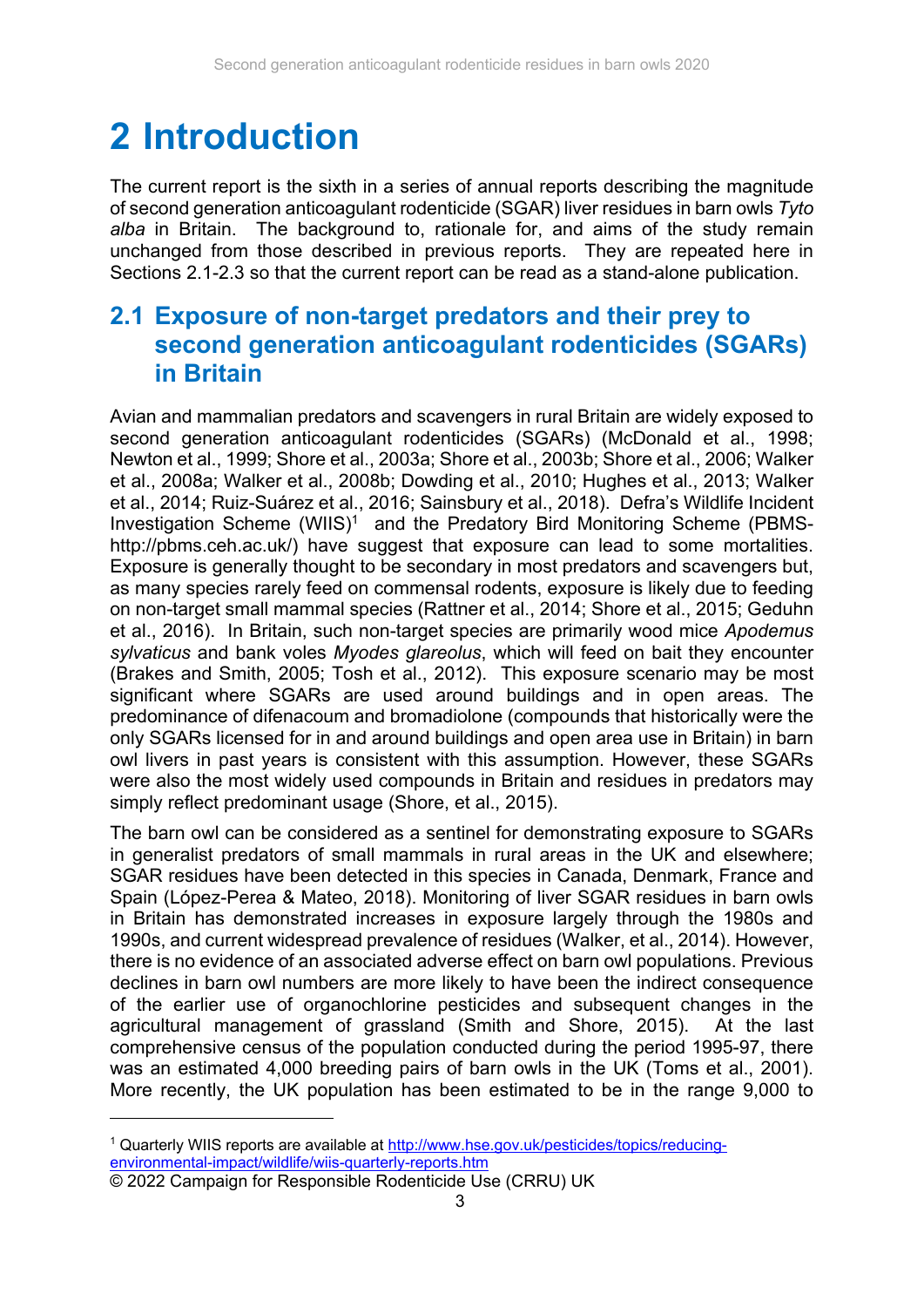## **2 Introduction**

The current report is the sixth in a series of annual reports describing the magnitude of second generation anticoagulant rodenticide (SGAR) liver residues in barn owls *Tyto alba* in Britain. The background to, rationale for, and aims of the study remain unchanged from those described in previous reports. They are repeated here in Sections 2.1-2.3 so that the current report can be read as a stand-alone publication.

### **2.1 Exposure of non-target predators and their prey to second generation anticoagulant rodenticides (SGARs) in Britain**

Avian and mammalian predators and scavengers in rural Britain are widely exposed to second generation anticoagulant rodenticides (SGARs) (McDonald et al., 1998; Newton et al., 1999; Shore et al., 2003a; Shore et al., 2003b; Shore et al., 2006; Walker et al., 2008a; Walker et al., 2008b; Dowding et al., 2010; Hughes et al., 2013; Walker et al., 2014; Ruiz-Suárez et al., 2016; Sainsbury et al., 2018). Defra's Wildlife Incident Investigation Scheme (WIIS)<sup>1</sup> and the Predatory Bird Monitoring Scheme (PBMShttp://pbms.ceh.ac.uk/) have suggest that exposure can lead to some mortalities. Exposure is generally thought to be secondary in most predators and scavengers but, as many species rarely feed on commensal rodents, exposure is likely due to feeding on non-target small mammal species (Rattner et al., 2014; Shore et al., 2015; Geduhn et al., 2016). In Britain, such non-target species are primarily wood mice *Apodemus sylvaticus* and bank voles *Myodes glareolus*, which will feed on bait they encounter (Brakes and Smith, 2005; Tosh et al., 2012). This exposure scenario may be most significant where SGARs are used around buildings and in open areas. The predominance of difenacoum and bromadiolone (compounds that historically were the only SGARs licensed for in and around buildings and open area use in Britain) in barn owl livers in past years is consistent with this assumption. However, these SGARs were also the most widely used compounds in Britain and residues in predators may simply reflect predominant usage (Shore, et al., 2015).

The barn owl can be considered as a sentinel for demonstrating exposure to SGARs in generalist predators of small mammals in rural areas in the UK and elsewhere; SGAR residues have been detected in this species in Canada, Denmark, France and Spain (Lόpez-Perea & Mateo, 2018). Monitoring of liver SGAR residues in barn owls in Britain has demonstrated increases in exposure largely through the 1980s and 1990s, and current widespread prevalence of residues (Walker, et al., 2014). However, there is no evidence of an associated adverse effect on barn owl populations. Previous declines in barn owl numbers are more likely to have been the indirect consequence of the earlier use of organochlorine pesticides and subsequent changes in the agricultural management of grassland (Smith and Shore, 2015). At the last comprehensive census of the population conducted during the period 1995-97, there was an estimated 4,000 breeding pairs of barn owls in the UK (Toms et al., 2001). More recently, the UK population has been estimated to be in the range 9,000 to

1

<sup>1</sup> Quarterly WIIS reports are available at http://www.hse.gov.uk/pesticides/topics/reducingenvironmental-impact/wildlife/wiis-quarterly-reports.htm

<sup>© 2022</sup> Campaign for Responsible Rodenticide Use (CRRU) UK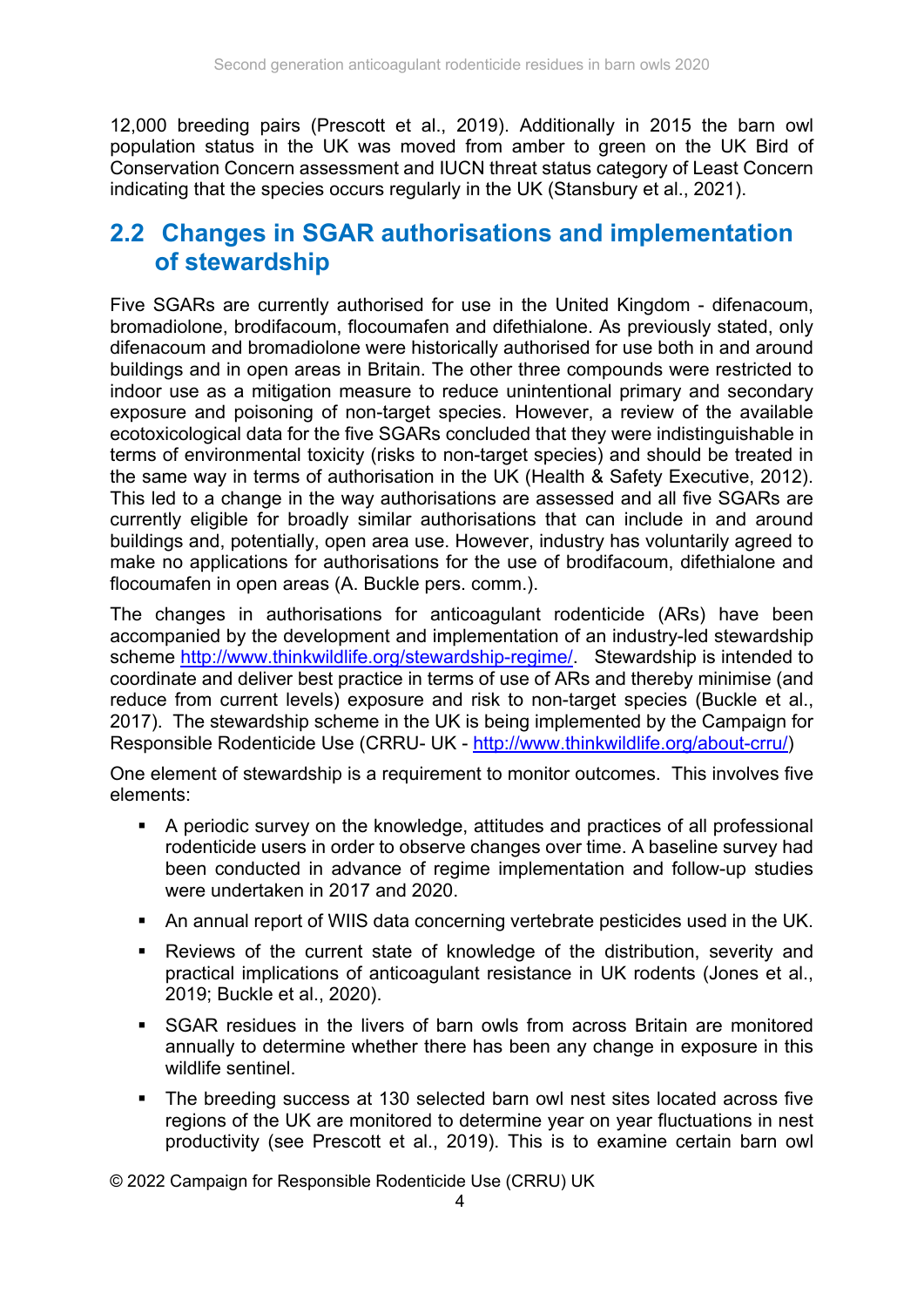12,000 breeding pairs (Prescott et al., 2019). Additionally in 2015 the barn owl population status in the UK was moved from amber to green on the UK Bird of Conservation Concern assessment and IUCN threat status category of Least Concern indicating that the species occurs regularly in the UK (Stansbury et al., 2021).

### **2.2 Changes in SGAR authorisations and implementation of stewardship**

Five SGARs are currently authorised for use in the United Kingdom - difenacoum, bromadiolone, brodifacoum, flocoumafen and difethialone. As previously stated, only difenacoum and bromadiolone were historically authorised for use both in and around buildings and in open areas in Britain. The other three compounds were restricted to indoor use as a mitigation measure to reduce unintentional primary and secondary exposure and poisoning of non-target species. However, a review of the available ecotoxicological data for the five SGARs concluded that they were indistinguishable in terms of environmental toxicity (risks to non-target species) and should be treated in the same way in terms of authorisation in the UK (Health & Safety Executive, 2012). This led to a change in the way authorisations are assessed and all five SGARs are currently eligible for broadly similar authorisations that can include in and around buildings and, potentially, open area use. However, industry has voluntarily agreed to make no applications for authorisations for the use of brodifacoum, difethialone and flocoumafen in open areas (A. Buckle pers. comm.).

The changes in authorisations for anticoagulant rodenticide (ARs) have been accompanied by the development and implementation of an industry-led stewardship scheme http://www.thinkwildlife.org/stewardship-regime/. Stewardship is intended to coordinate and deliver best practice in terms of use of ARs and thereby minimise (and reduce from current levels) exposure and risk to non-target species (Buckle et al., 2017). The stewardship scheme in the UK is being implemented by the Campaign for Responsible Rodenticide Use (CRRU- UK - http://www.thinkwildlife.org/about-crru/)

One element of stewardship is a requirement to monitor outcomes. This involves five elements:

- A periodic survey on the knowledge, attitudes and practices of all professional rodenticide users in order to observe changes over time. A baseline survey had been conducted in advance of regime implementation and follow-up studies were undertaken in 2017 and 2020.
- An annual report of WIIS data concerning vertebrate pesticides used in the UK.
- Reviews of the current state of knowledge of the distribution, severity and practical implications of anticoagulant resistance in UK rodents (Jones et al., 2019; Buckle et al., 2020).
- SGAR residues in the livers of barn owls from across Britain are monitored annually to determine whether there has been any change in exposure in this wildlife sentinel.
- The breeding success at 130 selected barn owl nest sites located across five regions of the UK are monitored to determine year on year fluctuations in nest productivity (see Prescott et al., 2019). This is to examine certain barn owl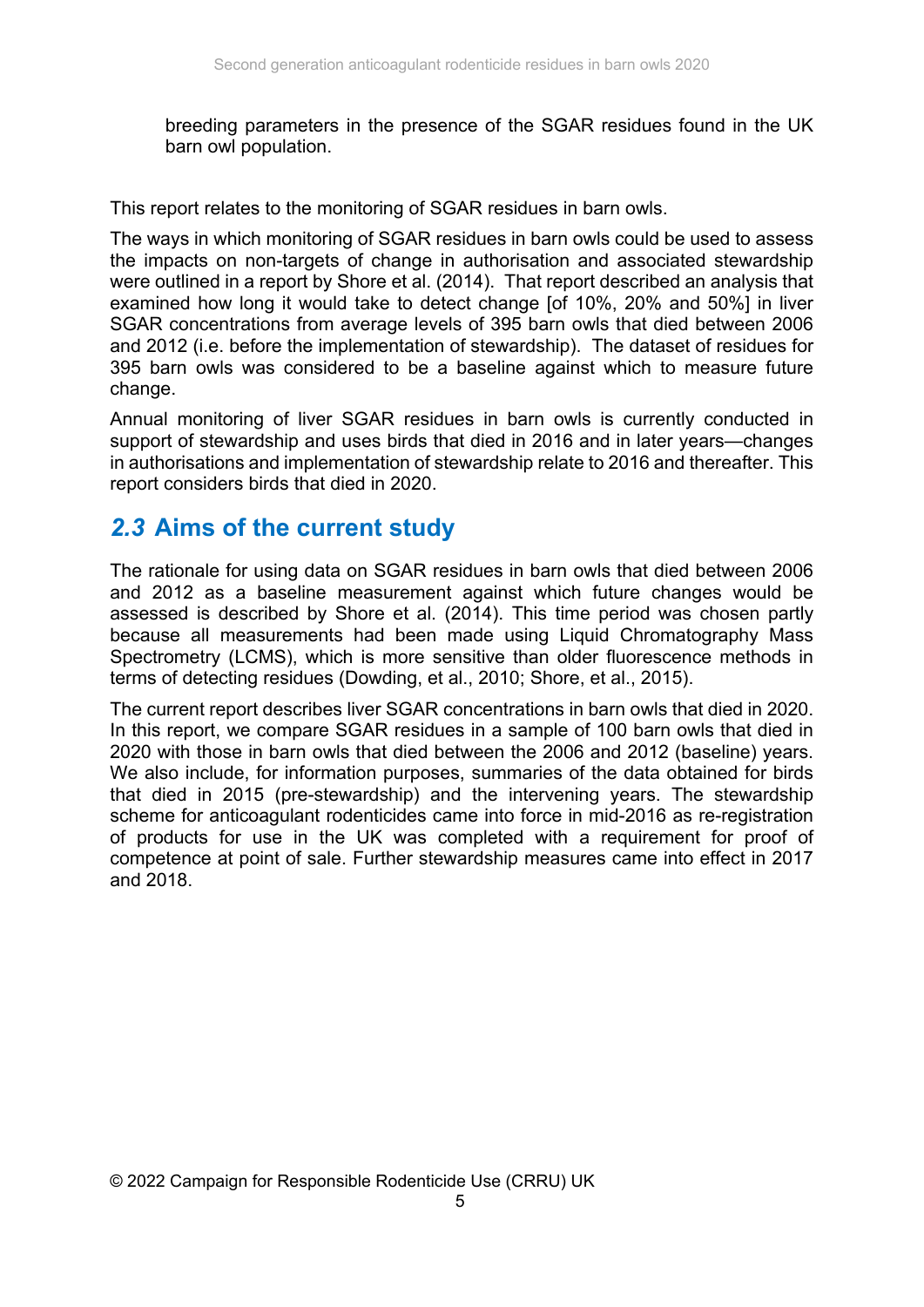breeding parameters in the presence of the SGAR residues found in the UK barn owl population.

This report relates to the monitoring of SGAR residues in barn owls.

The ways in which monitoring of SGAR residues in barn owls could be used to assess the impacts on non-targets of change in authorisation and associated stewardship were outlined in a report by Shore et al. (2014). That report described an analysis that examined how long it would take to detect change [of 10%, 20% and 50%] in liver SGAR concentrations from average levels of 395 barn owls that died between 2006 and 2012 (i.e. before the implementation of stewardship). The dataset of residues for 395 barn owls was considered to be a baseline against which to measure future change.

Annual monitoring of liver SGAR residues in barn owls is currently conducted in support of stewardship and uses birds that died in 2016 and in later years—changes in authorisations and implementation of stewardship relate to 2016 and thereafter. This report considers birds that died in 2020.

#### *2.3* **Aims of the current study**

The rationale for using data on SGAR residues in barn owls that died between 2006 and 2012 as a baseline measurement against which future changes would be assessed is described by Shore et al. (2014). This time period was chosen partly because all measurements had been made using Liquid Chromatography Mass Spectrometry (LCMS), which is more sensitive than older fluorescence methods in terms of detecting residues (Dowding, et al., 2010; Shore, et al., 2015).

The current report describes liver SGAR concentrations in barn owls that died in 2020. In this report, we compare SGAR residues in a sample of 100 barn owls that died in 2020 with those in barn owls that died between the 2006 and 2012 (baseline) years. We also include, for information purposes, summaries of the data obtained for birds that died in 2015 (pre-stewardship) and the intervening years. The stewardship scheme for anticoagulant rodenticides came into force in mid-2016 as re-registration of products for use in the UK was completed with a requirement for proof of competence at point of sale. Further stewardship measures came into effect in 2017 and 2018.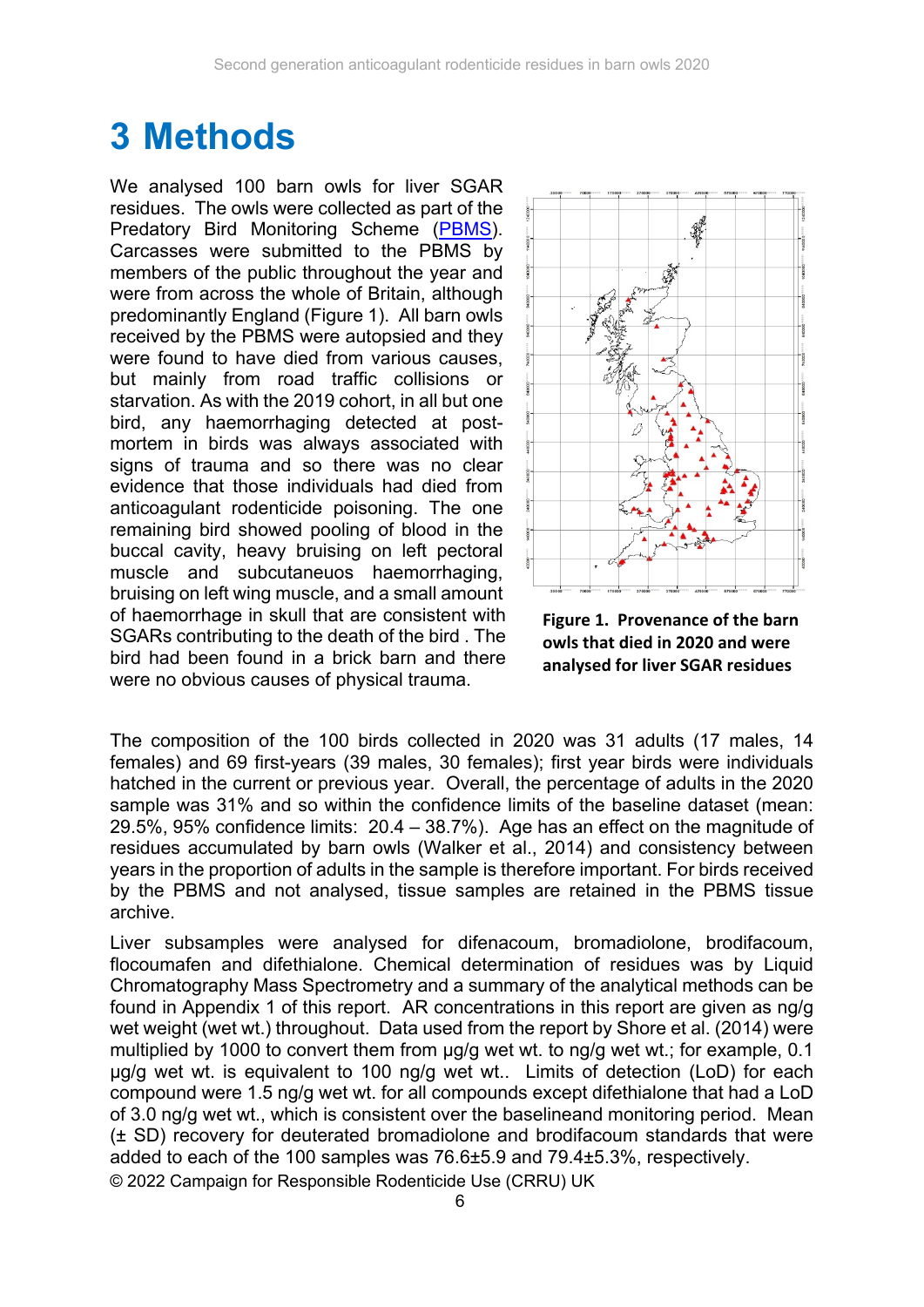### **3 Methods**

We analysed 100 barn owls for liver SGAR residues. The owls were collected as part of the Predatory Bird Monitoring Scheme (PBMS). Carcasses were submitted to the PBMS by members of the public throughout the year and were from across the whole of Britain, although predominantly England (Figure 1). All barn owls received by the PBMS were autopsied and they were found to have died from various causes, but mainly from road traffic collisions or starvation. As with the 2019 cohort, in all but one bird, any haemorrhaging detected at postmortem in birds was always associated with signs of trauma and so there was no clear evidence that those individuals had died from anticoagulant rodenticide poisoning. The one remaining bird showed pooling of blood in the buccal cavity, heavy bruising on left pectoral muscle and subcutaneuos haemorrhaging, bruising on left wing muscle, and a small amount of haemorrhage in skull that are consistent with SGARs contributing to the death of the bird . The bird had been found in a brick barn and there were no obvious causes of physical trauma.



**Figure 1. Provenance of the barn owls that died in 2020 and were analysed for liver SGAR residues**

The composition of the 100 birds collected in 2020 was 31 adults (17 males, 14 females) and 69 first-years (39 males, 30 females); first year birds were individuals hatched in the current or previous year. Overall, the percentage of adults in the 2020 sample was 31% and so within the confidence limits of the baseline dataset (mean: 29.5%, 95% confidence limits: 20.4 – 38.7%). Age has an effect on the magnitude of residues accumulated by barn owls (Walker et al., 2014) and consistency between years in the proportion of adults in the sample is therefore important. For birds received by the PBMS and not analysed, tissue samples are retained in the PBMS tissue archive.

© 2022 Campaign for Responsible Rodenticide Use (CRRU) UK Liver subsamples were analysed for difenacoum, bromadiolone, brodifacoum, flocoumafen and difethialone. Chemical determination of residues was by Liquid Chromatography Mass Spectrometry and a summary of the analytical methods can be found in Appendix 1 of this report. AR concentrations in this report are given as ng/g wet weight (wet wt.) throughout. Data used from the report by Shore et al. (2014) were multiplied by 1000 to convert them from µg/g wet wt. to ng/g wet wt.; for example, 0.1 µg/g wet wt. is equivalent to 100 ng/g wet wt.. Limits of detection (LoD) for each compound were 1.5 ng/g wet wt. for all compounds except difethialone that had a LoD of 3.0 ng/g wet wt., which is consistent over the baselineand monitoring period. Mean (± SD) recovery for deuterated bromadiolone and brodifacoum standards that were added to each of the 100 samples was 76.6±5.9 and 79.4±5.3%, respectively.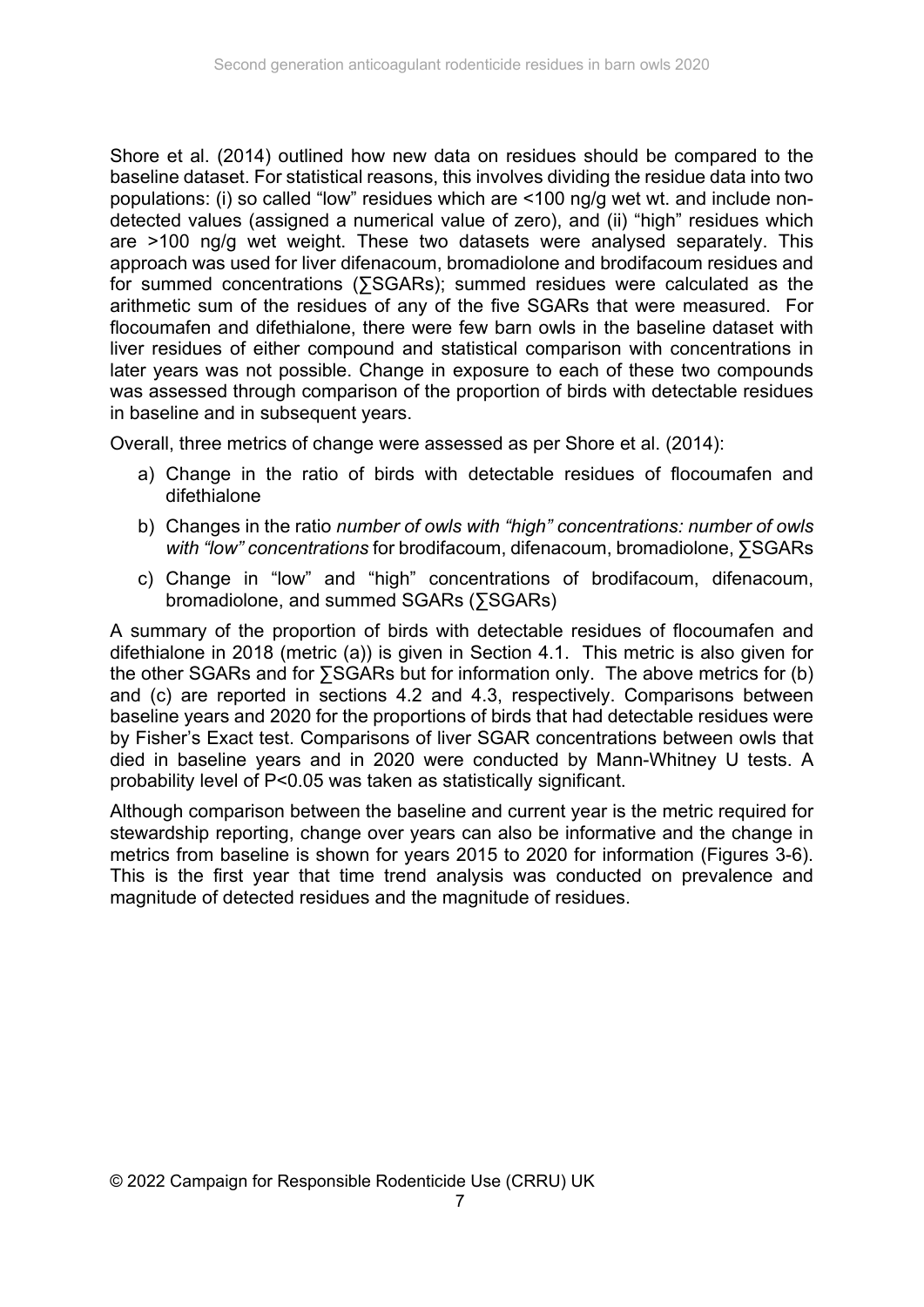Shore et al. (2014) outlined how new data on residues should be compared to the baseline dataset. For statistical reasons, this involves dividing the residue data into two populations: (i) so called "low" residues which are <100 ng/g wet wt. and include nondetected values (assigned a numerical value of zero), and (ii) "high" residues which are >100 ng/g wet weight. These two datasets were analysed separately. This approach was used for liver difenacoum, bromadiolone and brodifacoum residues and for summed concentrations (∑SGARs); summed residues were calculated as the arithmetic sum of the residues of any of the five SGARs that were measured. For flocoumafen and difethialone, there were few barn owls in the baseline dataset with liver residues of either compound and statistical comparison with concentrations in later years was not possible. Change in exposure to each of these two compounds was assessed through comparison of the proportion of birds with detectable residues in baseline and in subsequent years.

Overall, three metrics of change were assessed as per Shore et al. (2014):

- a) Change in the ratio of birds with detectable residues of flocoumafen and difethialone
- b) Changes in the ratio *number of owls with "high" concentrations: number of owls with "low" concentrations* for brodifacoum, difenacoum, bromadiolone, ∑SGARs
- c) Change in "low" and "high" concentrations of brodifacoum, difenacoum, bromadiolone, and summed SGARs (∑SGARs)

A summary of the proportion of birds with detectable residues of flocoumafen and difethialone in 2018 (metric (a)) is given in Section 4.1. This metric is also given for the other SGARs and for ∑SGARs but for information only. The above metrics for (b) and (c) are reported in sections 4.2 and 4.3, respectively. Comparisons between baseline years and 2020 for the proportions of birds that had detectable residues were by Fisher's Exact test. Comparisons of liver SGAR concentrations between owls that died in baseline years and in 2020 were conducted by Mann-Whitney U tests. A probability level of P<0.05 was taken as statistically significant.

Although comparison between the baseline and current year is the metric required for stewardship reporting, change over years can also be informative and the change in metrics from baseline is shown for years 2015 to 2020 for information (Figures 3-6). This is the first year that time trend analysis was conducted on prevalence and magnitude of detected residues and the magnitude of residues.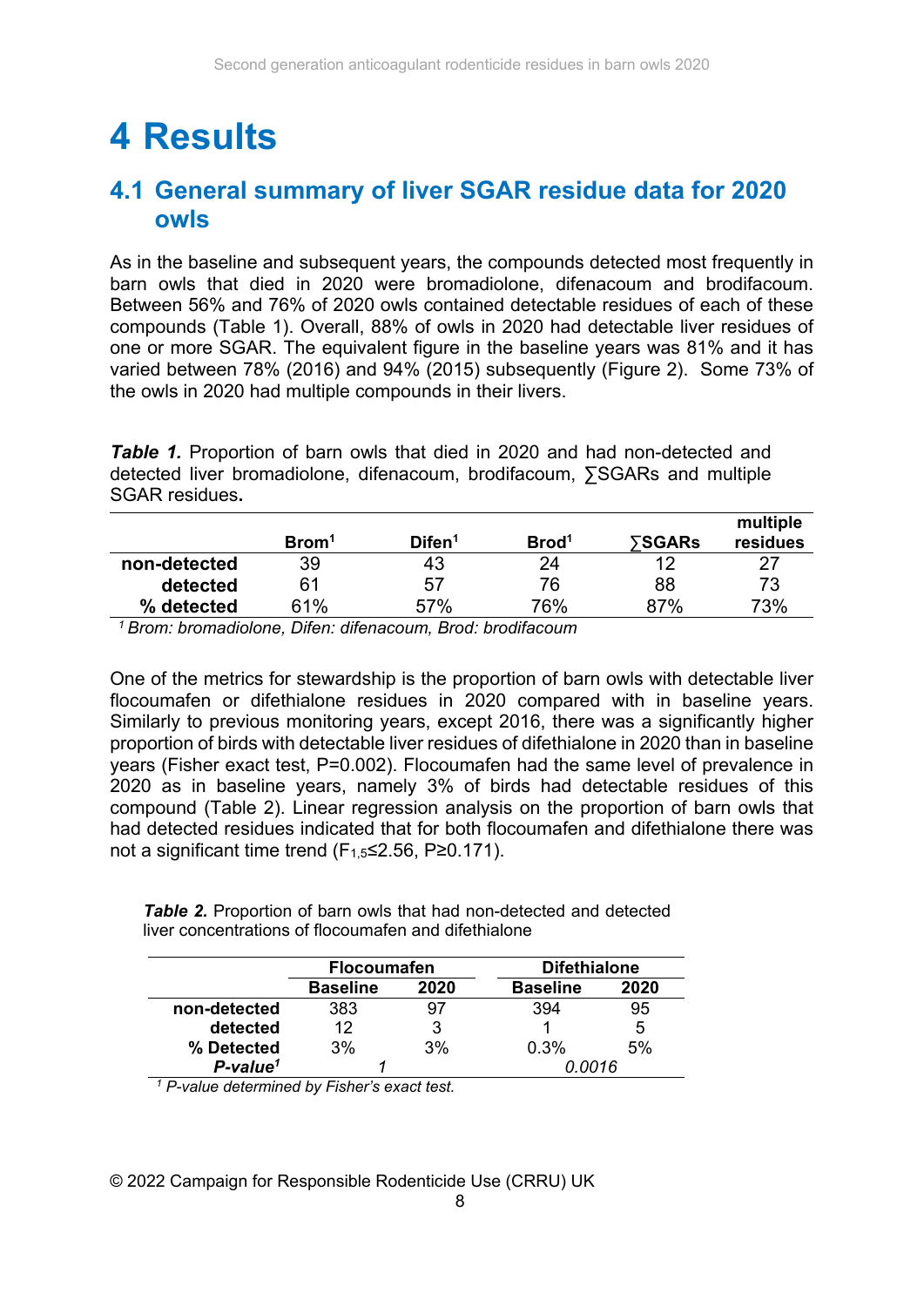### **4 Results**

### **4.1 General summary of liver SGAR residue data for 2020 owls**

As in the baseline and subsequent years, the compounds detected most frequently in barn owls that died in 2020 were bromadiolone, difenacoum and brodifacoum. Between 56% and 76% of 2020 owls contained detectable residues of each of these compounds (Table 1). Overall, 88% of owls in 2020 had detectable liver residues of one or more SGAR. The equivalent figure in the baseline years was 81% and it has varied between 78% (2016) and 94% (2015) subsequently (Figure 2). Some 73% of the owls in 2020 had multiple compounds in their livers.

*Table 1.* Proportion of barn owls that died in 2020 and had non-detected and detected liver bromadiolone, difenacoum, brodifacoum, ∑SGARs and multiple SGAR residues**.** 

|              | Brom <sup>1</sup> | Difen <sup>1</sup> | Brod <sup>1</sup> | ⋝SGARs | multiple<br>residues |
|--------------|-------------------|--------------------|-------------------|--------|----------------------|
| non-detected | 39                | 43                 | 24                | 12     | 27                   |
| detected     | 61                | 57                 | 76                | 88     | 73                   |
| % detected   | 61%               | 57%                | 76%               | 87%    | 73%                  |

*1 Brom: bromadiolone, Difen: difenacoum, Brod: brodifacoum*

One of the metrics for stewardship is the proportion of barn owls with detectable liver flocoumafen or difethialone residues in 2020 compared with in baseline years. Similarly to previous monitoring years, except 2016, there was a significantly higher proportion of birds with detectable liver residues of difethialone in 2020 than in baseline years (Fisher exact test, P=0.002). Flocoumafen had the same level of prevalence in 2020 as in baseline years, namely 3% of birds had detectable residues of this compound (Table 2). Linear regression analysis on the proportion of barn owls that had detected residues indicated that for both flocoumafen and difethialone there was not a significant time trend (F1,5≤2.56, P≥0.171).

**Table 2.** Proportion of barn owls that had non-detected and detected liver concentrations of flocoumafen and difethialone

|                         | <b>Flocoumafen</b> |      | <b>Difethialone</b> |      |  |
|-------------------------|--------------------|------|---------------------|------|--|
|                         | <b>Baseline</b>    | 2020 | <b>Baseline</b>     | 2020 |  |
| non-detected            | 383                | 97   | 394                 | 95   |  |
| detected                | 12                 | 3    |                     | 5    |  |
| % Detected              | 3%                 | 3%   | 0.3%                | 5%   |  |
| $P$ -value <sup>1</sup> |                    |      | Ი ᲘᲘ16              |      |  |

*1 P-value determined by Fisher's exact test.*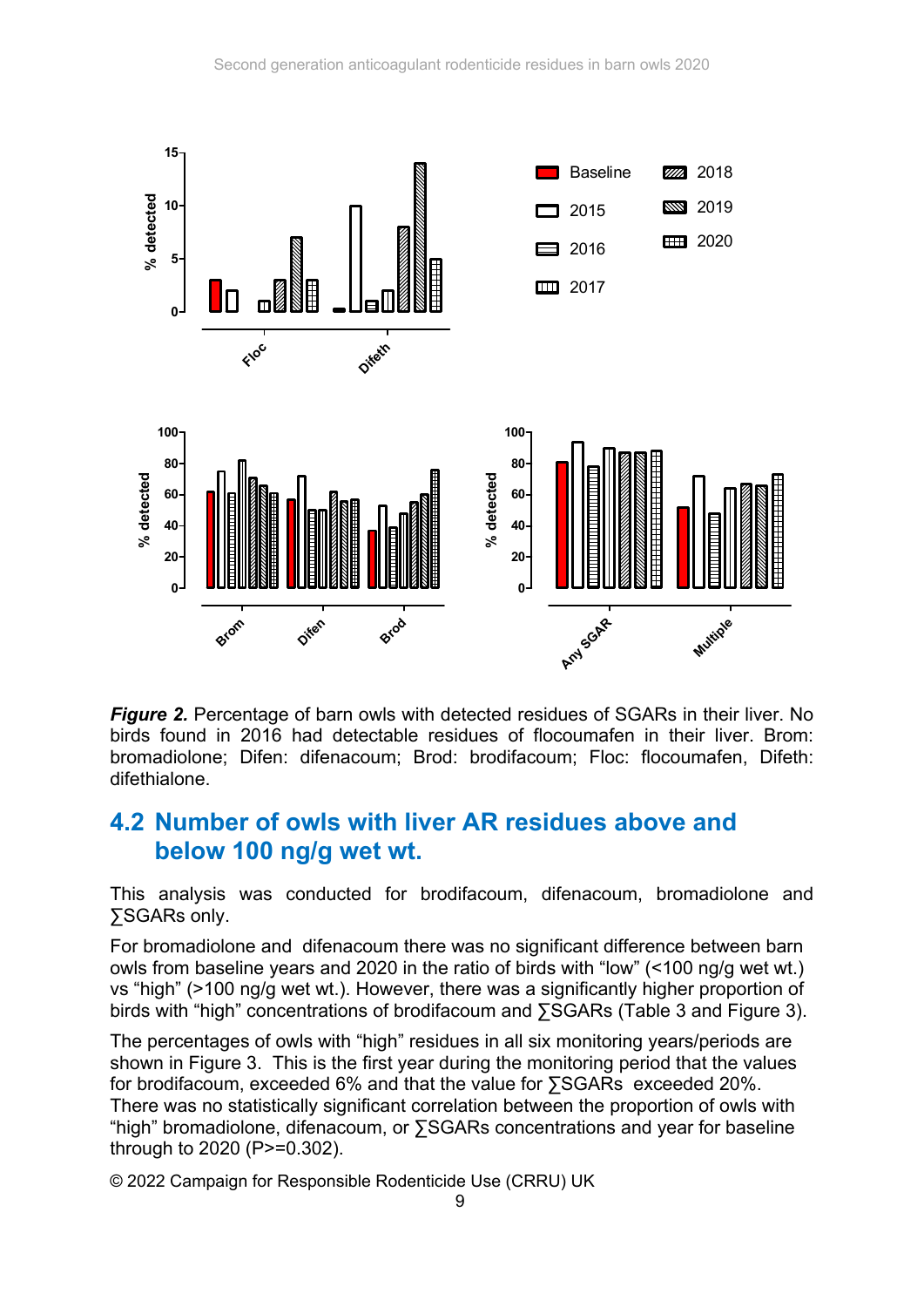

*Figure 2.* Percentage of barn owls with detected residues of SGARs in their liver. No birds found in 2016 had detectable residues of flocoumafen in their liver. Brom: bromadiolone; Difen: difenacoum; Brod: brodifacoum; Floc: flocoumafen, Difeth: difethialone.

### **4.2 Number of owls with liver AR residues above and below 100 ng/g wet wt.**

This analysis was conducted for brodifacoum, difenacoum, bromadiolone and ∑SGARs only.

For bromadiolone and difenacoum there was no significant difference between barn owls from baseline years and 2020 in the ratio of birds with "low" (<100 ng/g wet wt.) vs "high" (>100 ng/g wet wt.). However, there was a significantly higher proportion of birds with "high" concentrations of brodifacoum and ∑SGARs (Table 3 and Figure 3).

The percentages of owls with "high" residues in all six monitoring years/periods are shown in Figure 3. This is the first year during the monitoring period that the values for brodifacoum, exceeded 6% and that the value for ∑SGARs exceeded 20%. There was no statistically significant correlation between the proportion of owls with "high" bromadiolone, difenacoum, or ∑SGARs concentrations and year for baseline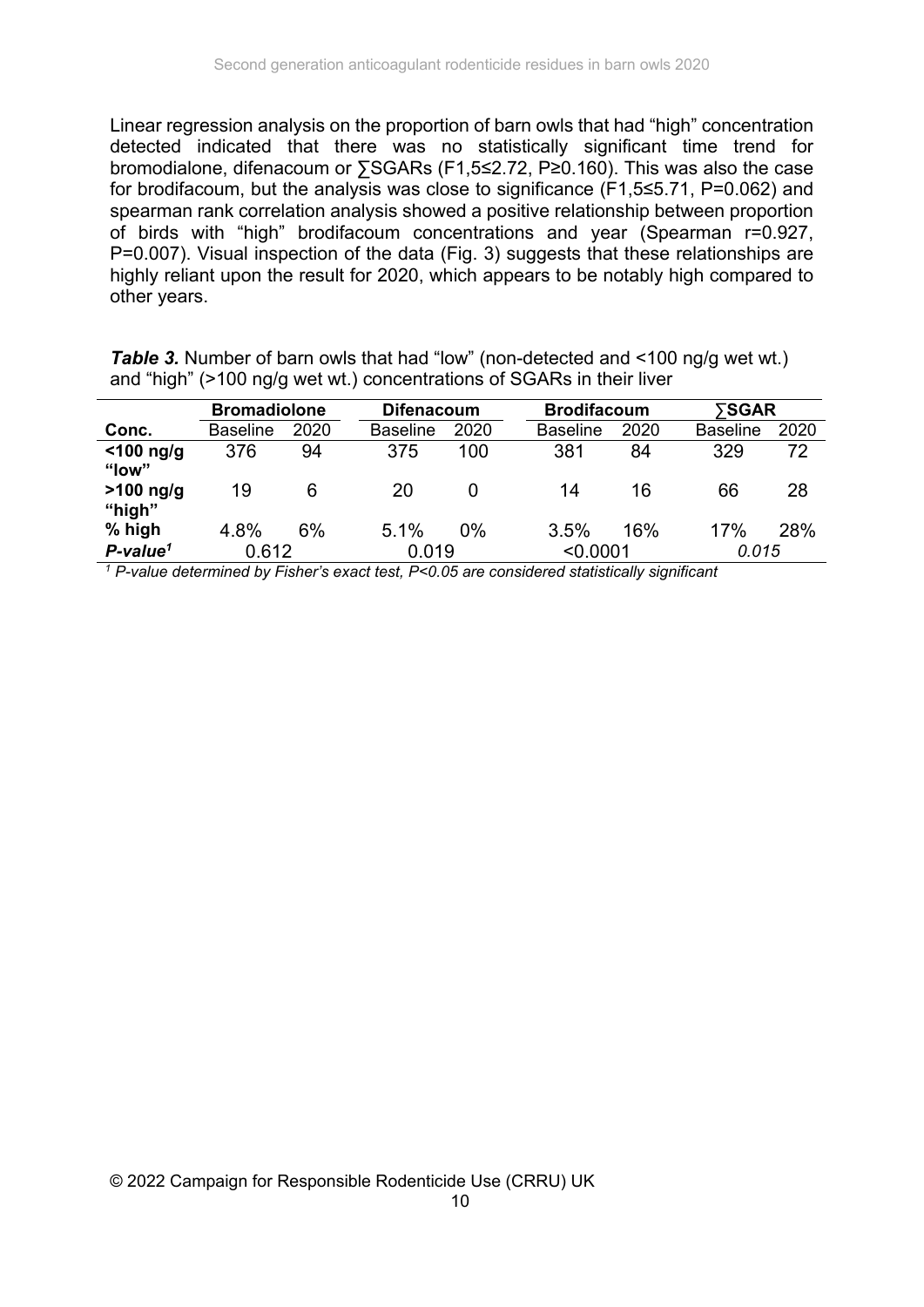Linear regression analysis on the proportion of barn owls that had "high" concentration detected indicated that there was no statistically significant time trend for bromodialone, difenacoum or ∑SGARs (F1,5≤2.72, P≥0.160). This was also the case for brodifacoum, but the analysis was close to significance (F1,5≤5.71, P=0.062) and spearman rank correlation analysis showed a positive relationship between proportion of birds with "high" brodifacoum concentrations and year (Spearman r=0.927, P=0.007). Visual inspection of the data (Fig. 3) suggests that these relationships are highly reliant upon the result for 2020, which appears to be notably high compared to other years.

| and ingli (2100 lig/g wet wt.) concentrations of SOARS in their liver |                     |      |                   |       |                 |                    |                 |       |  |
|-----------------------------------------------------------------------|---------------------|------|-------------------|-------|-----------------|--------------------|-----------------|-------|--|
|                                                                       | <b>Bromadiolone</b> |      | <b>Difenacoum</b> |       |                 | <b>Brodifacoum</b> |                 | ⋝SGAR |  |
| Conc.                                                                 | <b>Baseline</b>     | 2020 | <b>Baseline</b>   | 2020  | <b>Baseline</b> | 2020               | <b>Baseline</b> | 2020  |  |
| $<$ 100 ng/g                                                          | 376                 | 94   | 375               | 100   | 381             | 84                 | 329             | 72    |  |
| "low"                                                                 |                     |      |                   |       |                 |                    |                 |       |  |
| $>100$ ng/g                                                           | 19                  | 6    | 20                | 0     | 14              | 16                 | 66              | 28    |  |
| "high"                                                                |                     |      |                   |       |                 |                    |                 |       |  |
| % high                                                                | 4.8%                | 6%   | 5.1%              | $0\%$ | 3.5%            | 16%                | 17%             | 28%   |  |
| $P$ -value <sup>1</sup>                                               | 0.612               |      | 0.019             |       | < 0.0001        |                    | 0.015           |       |  |

**Table 3.** Number of barn owls that had "low" (non-detected and <100 ng/g wet wt.) and "high" (>100 ng/g wet wt.) concentrations of SGARs in their liver

*1 P-value determined by Fisher's exact test, P<0.05 are considered statistically significant*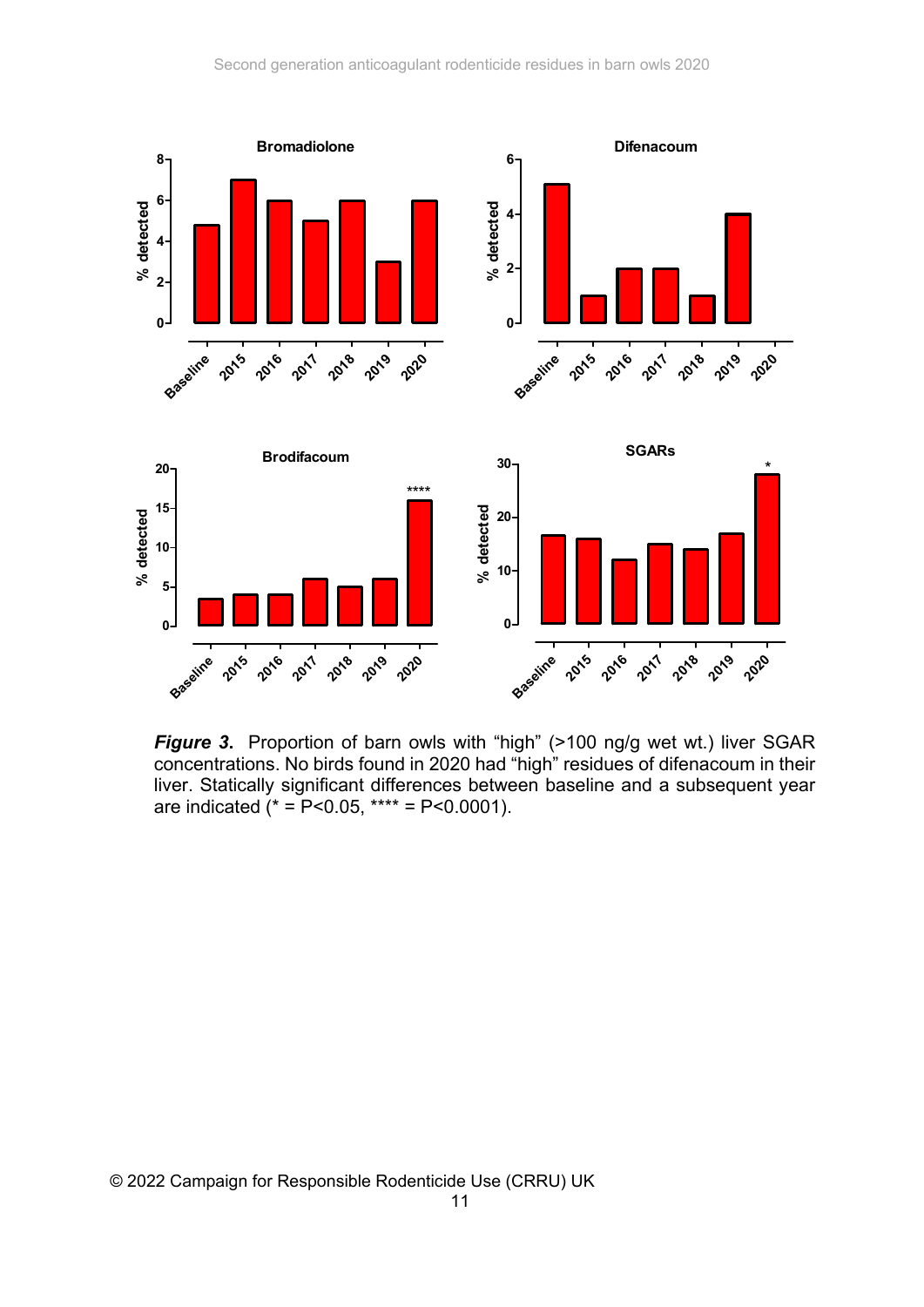

*Figure 3***.** Proportion of barn owls with "high" (>100 ng/g wet wt.) liver SGAR concentrations. No birds found in 2020 had "high" residues of difenacoum in their liver. Statically significant differences between baseline and a subsequent year are indicated  $* = P < 0.05$ , \*\*\*\* = P<0.0001).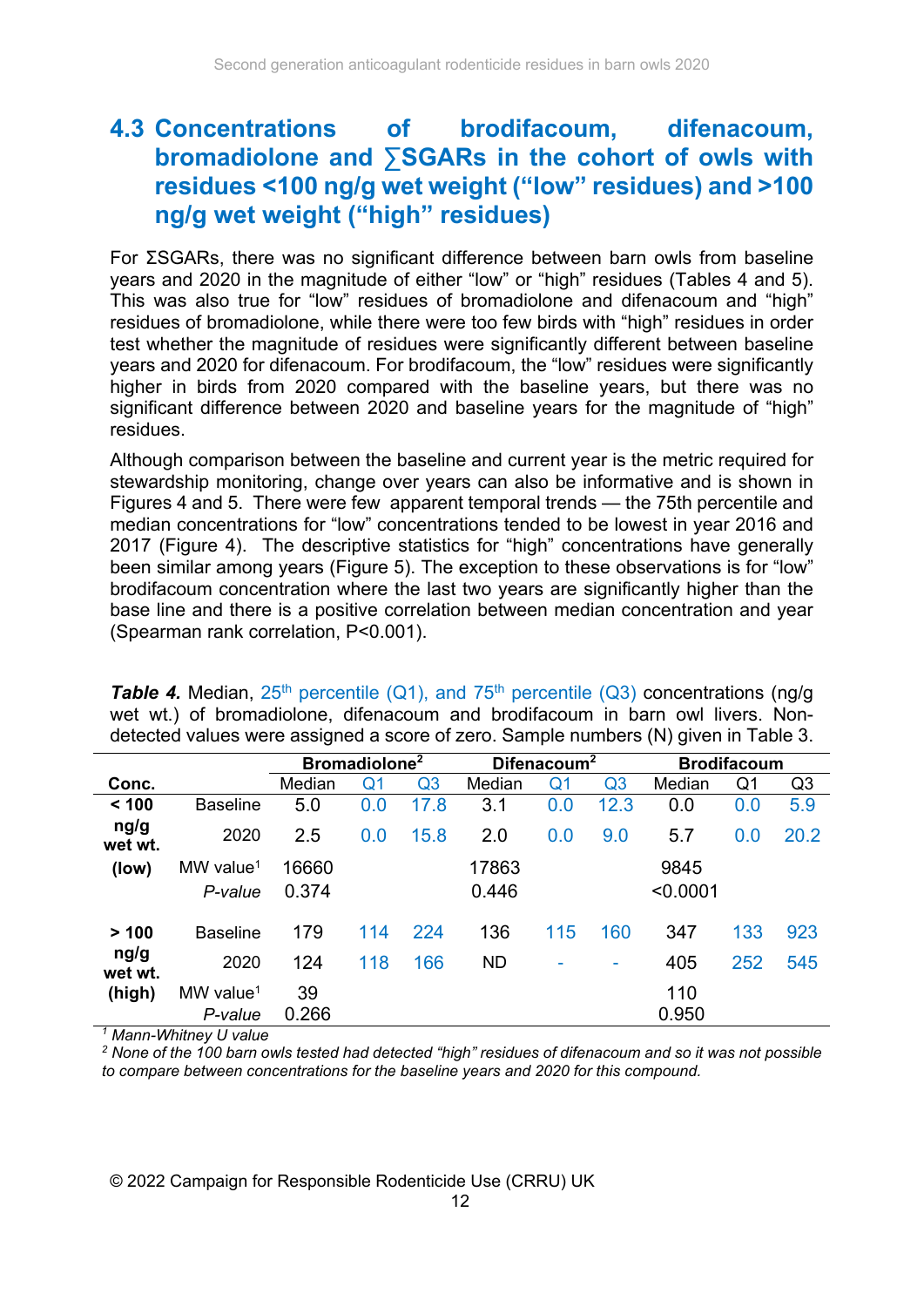### **4.3 Concentrations of brodifacoum, difenacoum, bromadiolone and ∑SGARs in the cohort of owls with residues <100 ng/g wet weight ("low" residues) and >100 ng/g wet weight ("high" residues)**

For ΣSGARs, there was no significant difference between barn owls from baseline years and 2020 in the magnitude of either "low" or "high" residues (Tables 4 and 5). This was also true for "low" residues of bromadiolone and difenacoum and "high" residues of bromadiolone, while there were too few birds with "high" residues in order test whether the magnitude of residues were significantly different between baseline years and 2020 for difenacoum. For brodifacoum, the "low" residues were significantly higher in birds from 2020 compared with the baseline years, but there was no significant difference between 2020 and baseline years for the magnitude of "high" residues.

Although comparison between the baseline and current year is the metric required for stewardship monitoring, change over years can also be informative and is shown in Figures 4 and 5. There were few apparent temporal trends — the 75th percentile and median concentrations for "low" concentrations tended to be lowest in year 2016 and 2017 (Figure 4). The descriptive statistics for "high" concentrations have generally been similar among years (Figure 5). The exception to these observations is for "low" brodifacoum concentration where the last two years are significantly higher than the base line and there is a positive correlation between median concentration and year (Spearman rank correlation, P<0.001).

**Table 4.** Median,  $25<sup>th</sup>$  percentile (Q1), and  $75<sup>th</sup>$  percentile (Q3) concentrations (ng/g wet wt.) of bromadiolone, difenacoum and brodifacoum in barn owl livers. Nondetected values were assigned a score of zero. Sample numbers (N) given in Table 3.

|                 |                         |        | Bromadiolone <sup>2</sup> |      | Difenacoum <sup>2</sup> |     |                | <b>Brodifacoum</b> |     |      |
|-----------------|-------------------------|--------|---------------------------|------|-------------------------|-----|----------------|--------------------|-----|------|
| Conc.           |                         | Median | Q1                        | Q3   | Median                  | Q1  | Q <sub>3</sub> | Median             | Q1  | Q3   |
| < 100           | <b>Baseline</b>         | 5.0    | 0.0                       | 17.8 | 3.1                     | 0.0 | 12.3           | 0.0                | 0.0 | 5.9  |
| ng/g<br>wet wt. | 2020                    | 2.5    | 0.0                       | 15.8 | 2.0                     | 0.0 | 9.0            | 5.7                | 0.0 | 20.2 |
| (low)           | MW value <sup>1</sup>   | 16660  |                           |      | 17863                   |     |                | 9845               |     |      |
|                 | P-value                 | 0.374  |                           |      | 0.446                   |     |                | < 0.0001           |     |      |
| >100            | <b>Baseline</b>         | 179    | 114                       | 224  | 136                     | 115 | 160            | 347                | 133 | 923  |
| ng/g<br>wet wt. | 2020                    | 124    | 118                       | 166  | <b>ND</b>               |     | ٠              | 405                | 252 | 545  |
| (high)          | $MW$ value <sup>1</sup> | 39     |                           |      |                         |     |                | 110                |     |      |
|                 | P-value                 | 0.266  |                           |      |                         |     |                | 0.950              |     |      |

*1 Mann-Whitney U value* 

*2 None of the 100 barn owls tested had detected "high" residues of difenacoum and so it was not possible to compare between concentrations for the baseline years and 2020 for this compound.*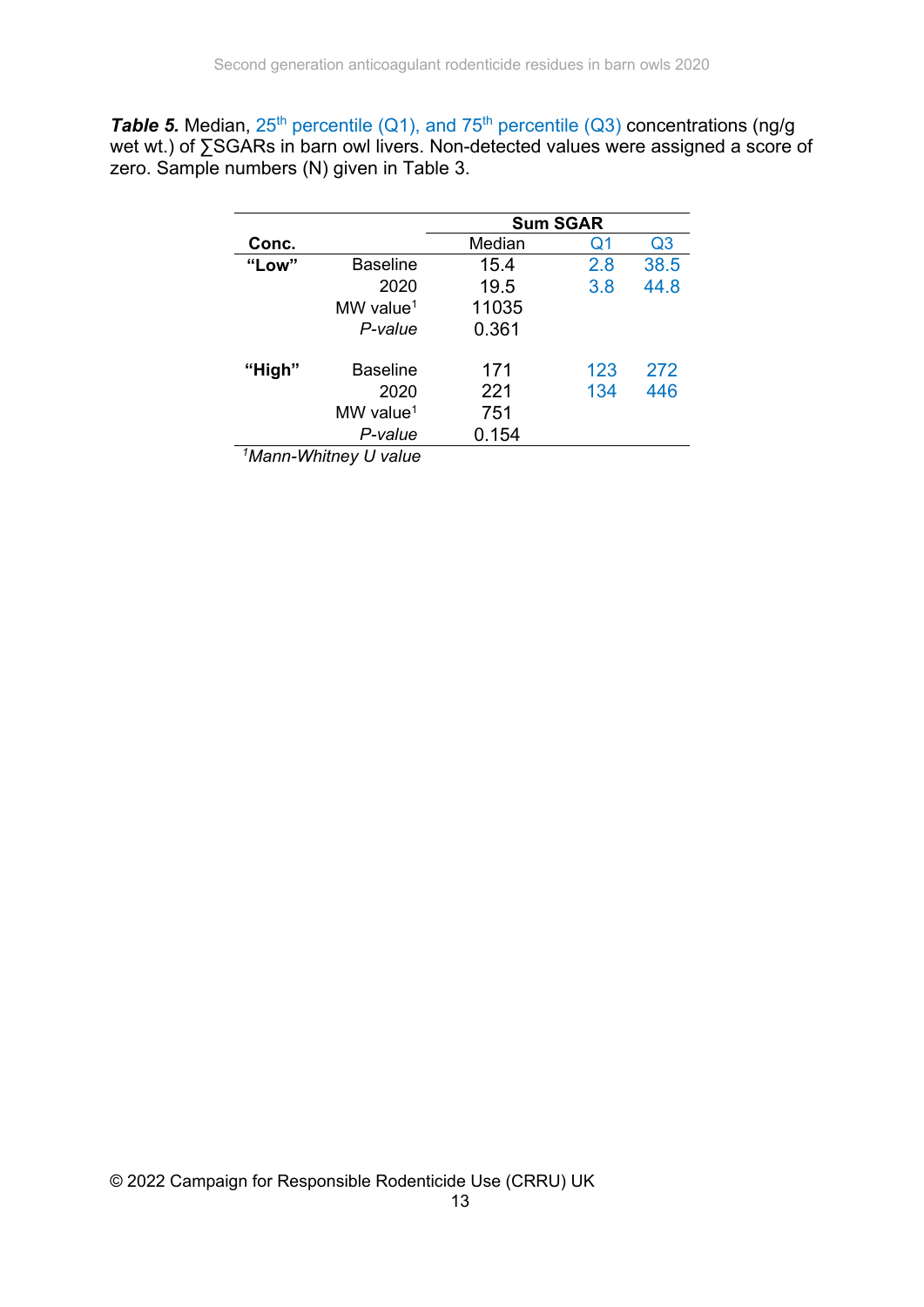**Table 5.** Median, 25<sup>th</sup> percentile (Q1), and 75<sup>th</sup> percentile (Q3) concentrations (ng/g wet wt.) of ∑SGARs in barn owl livers. Non-detected values were assigned a score of zero. Sample numbers (N) given in Table 3.

|                           |                         | <b>Sum SGAR</b> |     |                |  |  |  |  |
|---------------------------|-------------------------|-----------------|-----|----------------|--|--|--|--|
| Conc.                     |                         | Median          | Q1  | Q <sub>3</sub> |  |  |  |  |
| "Low"                     | Baseline                | 15.4            | 2.8 | 38.5           |  |  |  |  |
|                           | 2020                    | 19.5            | 3.8 | 44.8           |  |  |  |  |
|                           | $MW$ value <sup>1</sup> | 11035           |     |                |  |  |  |  |
|                           | P-value                 | 0.361           |     |                |  |  |  |  |
| "High"                    | <b>Baseline</b>         | 171             | 123 | 272            |  |  |  |  |
|                           | 2020                    | 221             | 134 | 446            |  |  |  |  |
|                           | $MW$ value <sup>1</sup> | 751             |     |                |  |  |  |  |
|                           | P-value                 | 0.154           |     |                |  |  |  |  |
| $10.4 - 2.4$ $10.4 - 1.4$ |                         |                 |     |                |  |  |  |  |

*1Mann-Whitney U value*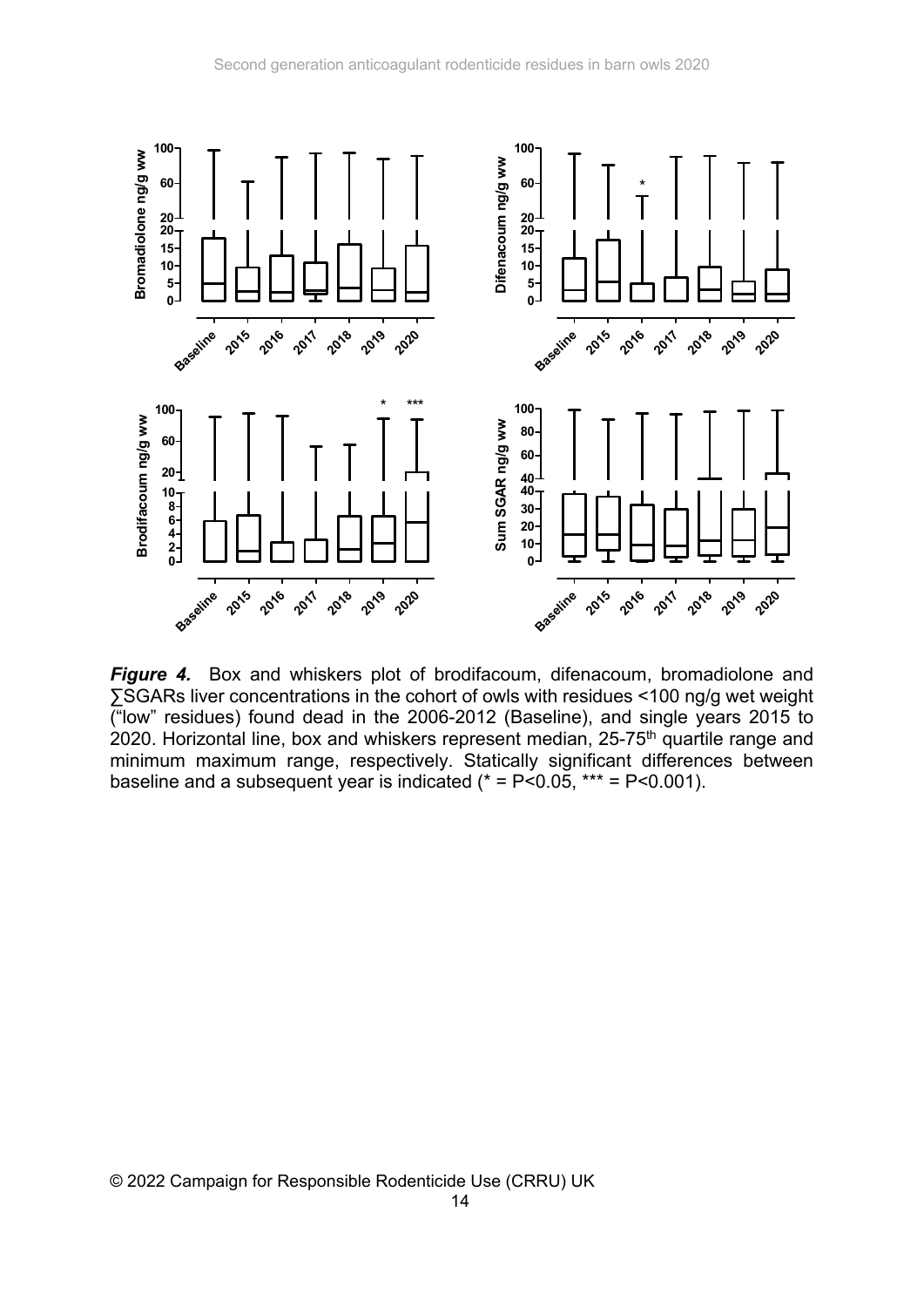

*Figure 4.* Box and whiskers plot of brodifacoum, difenacoum, bromadiolone and ∑SGARs liver concentrations in the cohort of owls with residues <100 ng/g wet weight ("low" residues) found dead in the 2006-2012 (Baseline), and single years 2015 to 2020. Horizontal line, box and whiskers represent median, 25-75<sup>th</sup> quartile range and minimum maximum range, respectively. Statically significant differences between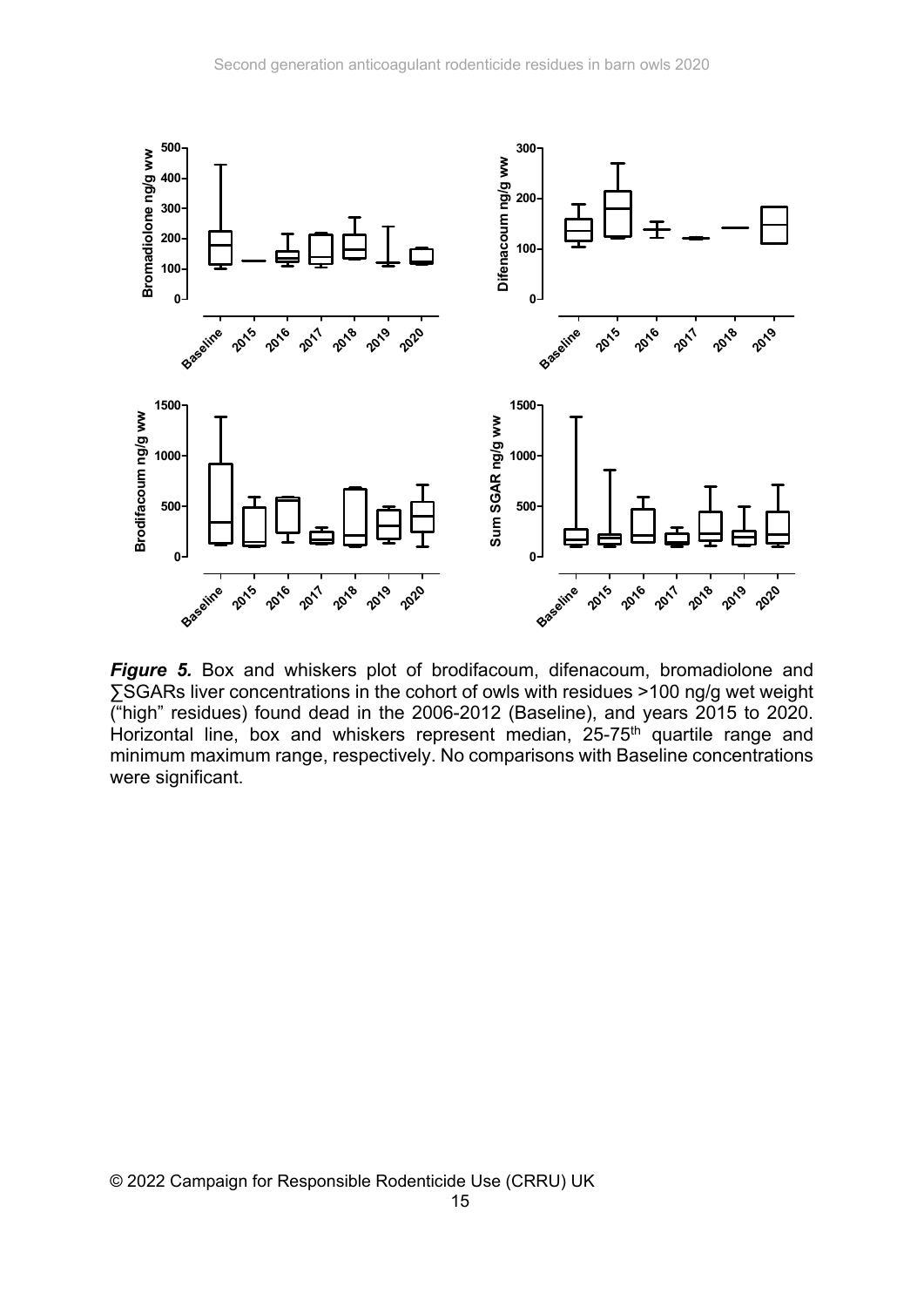

*Figure 5.* Box and whiskers plot of brodifacoum, difenacoum, bromadiolone and ∑SGARs liver concentrations in the cohort of owls with residues >100 ng/g wet weight ("high" residues) found dead in the 2006-2012 (Baseline), and years 2015 to 2020. Horizontal line, box and whiskers represent median, 25-75<sup>th</sup> quartile range and minimum maximum range, respectively. No comparisons with Baseline concentrations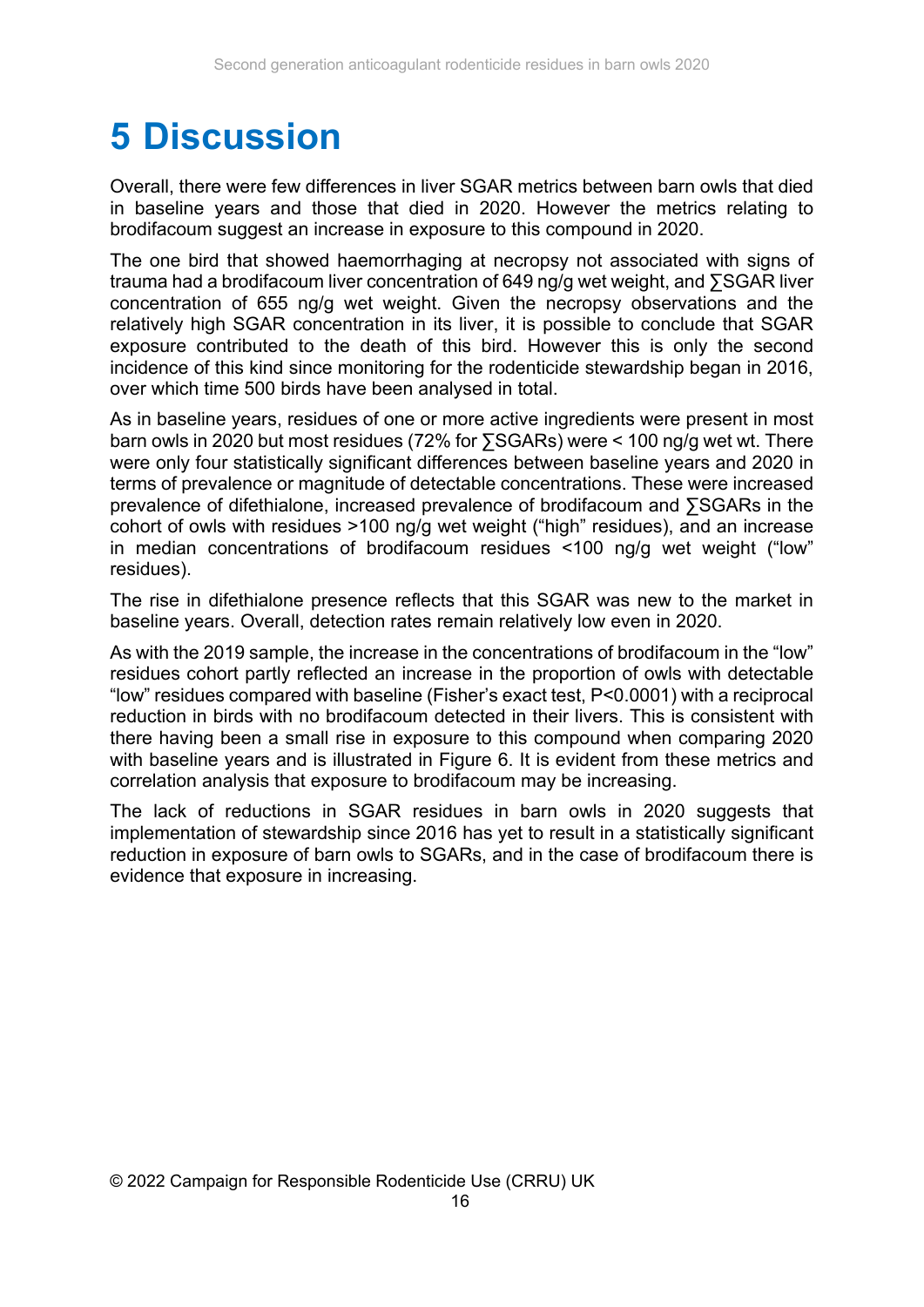### **5 Discussion**

Overall, there were few differences in liver SGAR metrics between barn owls that died in baseline years and those that died in 2020. However the metrics relating to brodifacoum suggest an increase in exposure to this compound in 2020.

The one bird that showed haemorrhaging at necropsy not associated with signs of trauma had a brodifacoum liver concentration of 649 ng/g wet weight, and ∑SGAR liver concentration of 655 ng/g wet weight. Given the necropsy observations and the relatively high SGAR concentration in its liver, it is possible to conclude that SGAR exposure contributed to the death of this bird. However this is only the second incidence of this kind since monitoring for the rodenticide stewardship began in 2016, over which time 500 birds have been analysed in total.

As in baseline years, residues of one or more active ingredients were present in most barn owls in 2020 but most residues (72% for ∑SGARs) were < 100 ng/g wet wt. There were only four statistically significant differences between baseline years and 2020 in terms of prevalence or magnitude of detectable concentrations. These were increased prevalence of difethialone, increased prevalence of brodifacoum and ∑SGARs in the cohort of owls with residues >100 ng/g wet weight ("high" residues), and an increase in median concentrations of brodifacoum residues <100 ng/g wet weight ("low" residues).

The rise in difethialone presence reflects that this SGAR was new to the market in baseline years. Overall, detection rates remain relatively low even in 2020.

As with the 2019 sample, the increase in the concentrations of brodifacoum in the "low" residues cohort partly reflected an increase in the proportion of owls with detectable "low" residues compared with baseline (Fisher's exact test, P<0.0001) with a reciprocal reduction in birds with no brodifacoum detected in their livers. This is consistent with there having been a small rise in exposure to this compound when comparing 2020 with baseline years and is illustrated in Figure 6. It is evident from these metrics and correlation analysis that exposure to brodifacoum may be increasing.

The lack of reductions in SGAR residues in barn owls in 2020 suggests that implementation of stewardship since 2016 has yet to result in a statistically significant reduction in exposure of barn owls to SGARs, and in the case of brodifacoum there is evidence that exposure in increasing.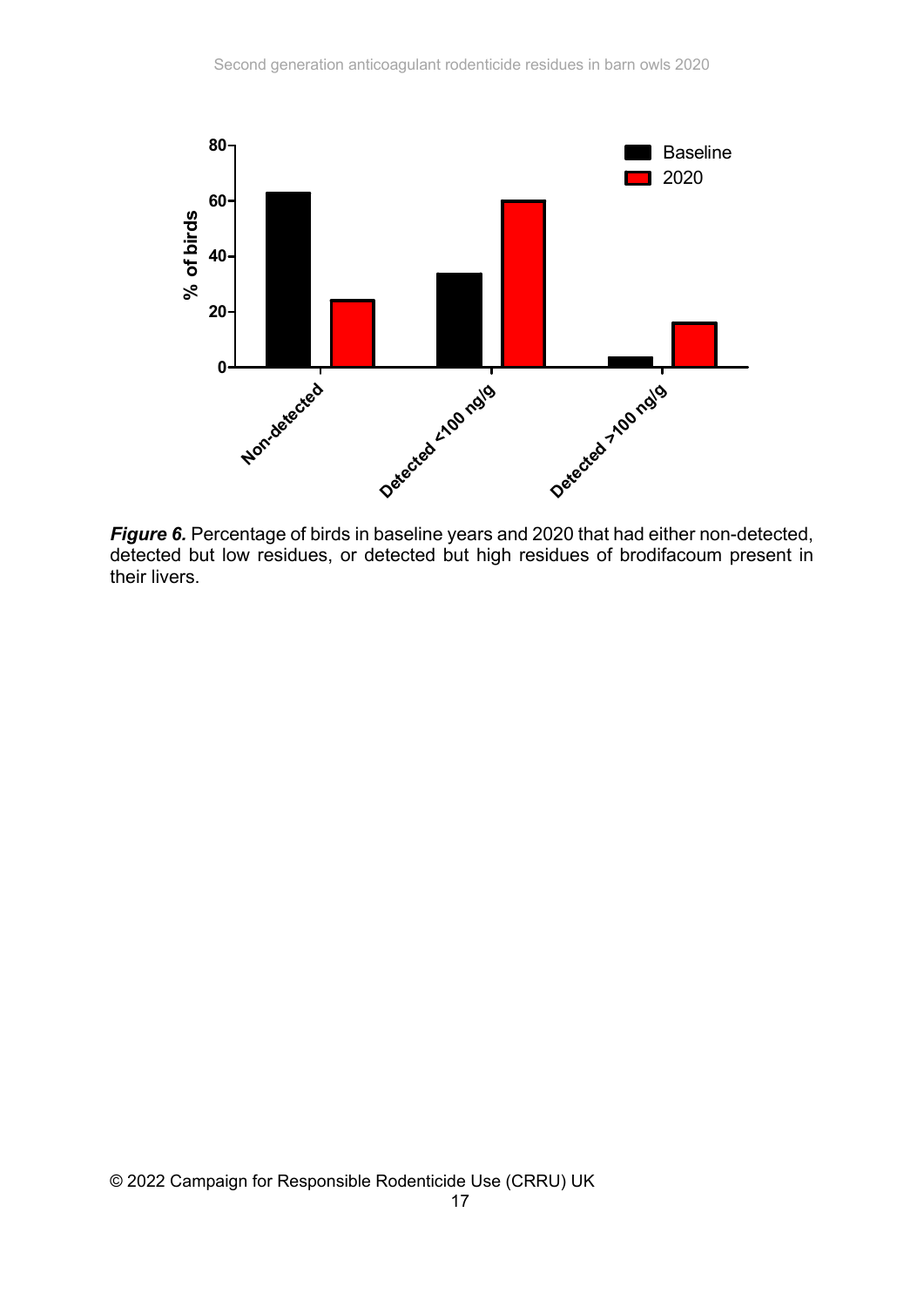

*Figure 6.* Percentage of birds in baseline years and 2020 that had either non-detected, detected but low residues, or detected but high residues of brodifacoum present in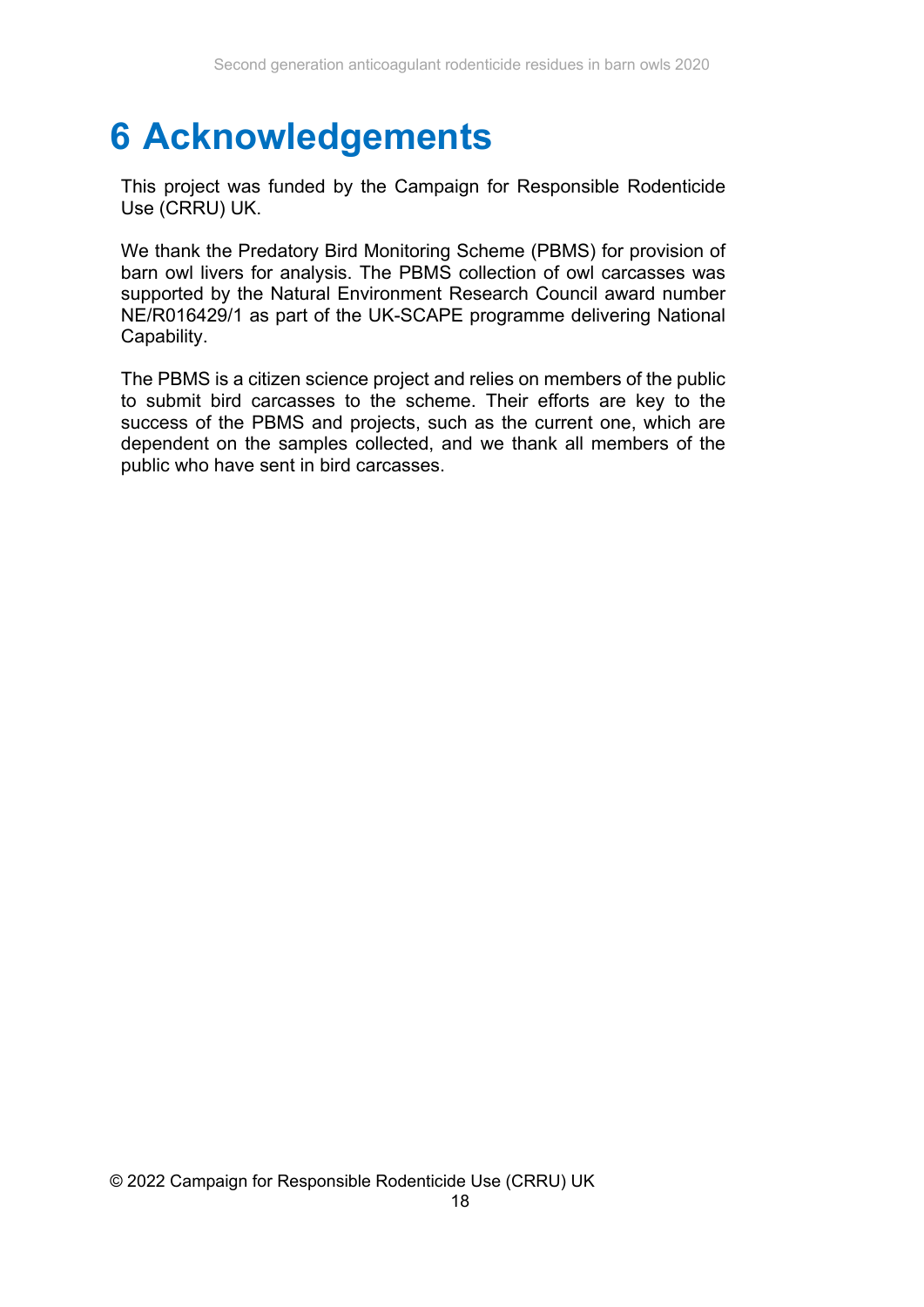### **6 Acknowledgements**

This project was funded by the Campaign for Responsible Rodenticide Use (CRRU) UK.

We thank the Predatory Bird Monitoring Scheme (PBMS) for provision of barn owl livers for analysis. The PBMS collection of owl carcasses was supported by the Natural Environment Research Council award number NE/R016429/1 as part of the UK-SCAPE programme delivering National Capability.

The PBMS is a citizen science project and relies on members of the public to submit bird carcasses to the scheme. Their efforts are key to the success of the PBMS and projects, such as the current one, which are dependent on the samples collected, and we thank all members of the public who have sent in bird carcasses.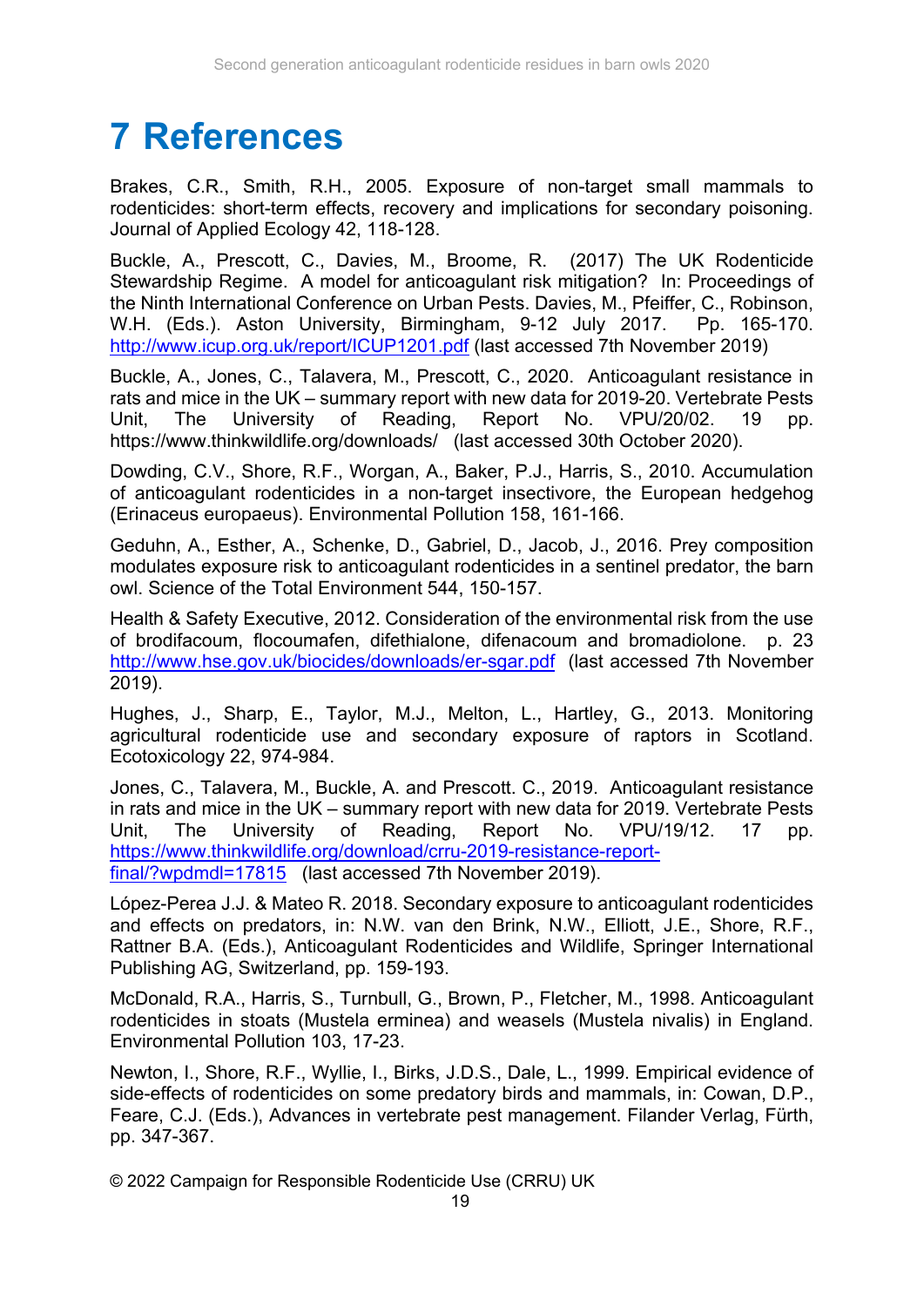# **7 References**

Brakes, C.R., Smith, R.H., 2005. Exposure of non-target small mammals to rodenticides: short-term effects, recovery and implications for secondary poisoning. Journal of Applied Ecology 42, 118-128.

Buckle, A., Prescott, C., Davies, M., Broome, R. (2017) The UK Rodenticide Stewardship Regime. A model for anticoagulant risk mitigation? In: Proceedings of the Ninth International Conference on Urban Pests. Davies, M., Pfeiffer, C., Robinson, W.H. (Eds.). Aston University, Birmingham, 9-12 July 2017. Pp. 165-170. http://www.icup.org.uk/report/ICUP1201.pdf (last accessed 7th November 2019)

Buckle, A., Jones, C., Talavera, M., Prescott, C., 2020. Anticoagulant resistance in rats and mice in the UK – summary report with new data for 2019-20. Vertebrate Pests Unit, The University of Reading, Report No. VPU/20/02. 19 pp. https://www.thinkwildlife.org/downloads/ (last accessed 30th October 2020).

Dowding, C.V., Shore, R.F., Worgan, A., Baker, P.J., Harris, S., 2010. Accumulation of anticoagulant rodenticides in a non-target insectivore, the European hedgehog (Erinaceus europaeus). Environmental Pollution 158, 161-166.

Geduhn, A., Esther, A., Schenke, D., Gabriel, D., Jacob, J., 2016. Prey composition modulates exposure risk to anticoagulant rodenticides in a sentinel predator, the barn owl. Science of the Total Environment 544, 150-157.

Health & Safety Executive, 2012. Consideration of the environmental risk from the use of brodifacoum, flocoumafen, difethialone, difenacoum and bromadiolone. p. 23 http://www.hse.gov.uk/biocides/downloads/er-sgar.pdf (last accessed 7th November 2019).

Hughes, J., Sharp, E., Taylor, M.J., Melton, L., Hartley, G., 2013. Monitoring agricultural rodenticide use and secondary exposure of raptors in Scotland. Ecotoxicology 22, 974-984.

Jones, C., Talavera, M., Buckle, A. and Prescott. C., 2019. Anticoagulant resistance in rats and mice in the UK – summary report with new data for 2019. Vertebrate Pests Unit, The University of Reading, Report No. VPU/19/12. 17 pp. https://www.thinkwildlife.org/download/crru-2019-resistance-reportfinal/?wpdmdl=17815 (last accessed 7th November 2019).

Lόpez-Perea J.J. & Mateo R. 2018. Secondary exposure to anticoagulant rodenticides and effects on predators, in: N.W. van den Brink, N.W., Elliott, J.E., Shore, R.F., Rattner B.A. (Eds.), Anticoagulant Rodenticides and Wildlife, Springer International Publishing AG, Switzerland, pp. 159-193.

McDonald, R.A., Harris, S., Turnbull, G., Brown, P., Fletcher, M., 1998. Anticoagulant rodenticides in stoats (Mustela erminea) and weasels (Mustela nivalis) in England. Environmental Pollution 103, 17-23.

Newton, I., Shore, R.F., Wyllie, I., Birks, J.D.S., Dale, L., 1999. Empirical evidence of side-effects of rodenticides on some predatory birds and mammals, in: Cowan, D.P., Feare, C.J. (Eds.), Advances in vertebrate pest management. Filander Verlag, Fürth, pp. 347-367.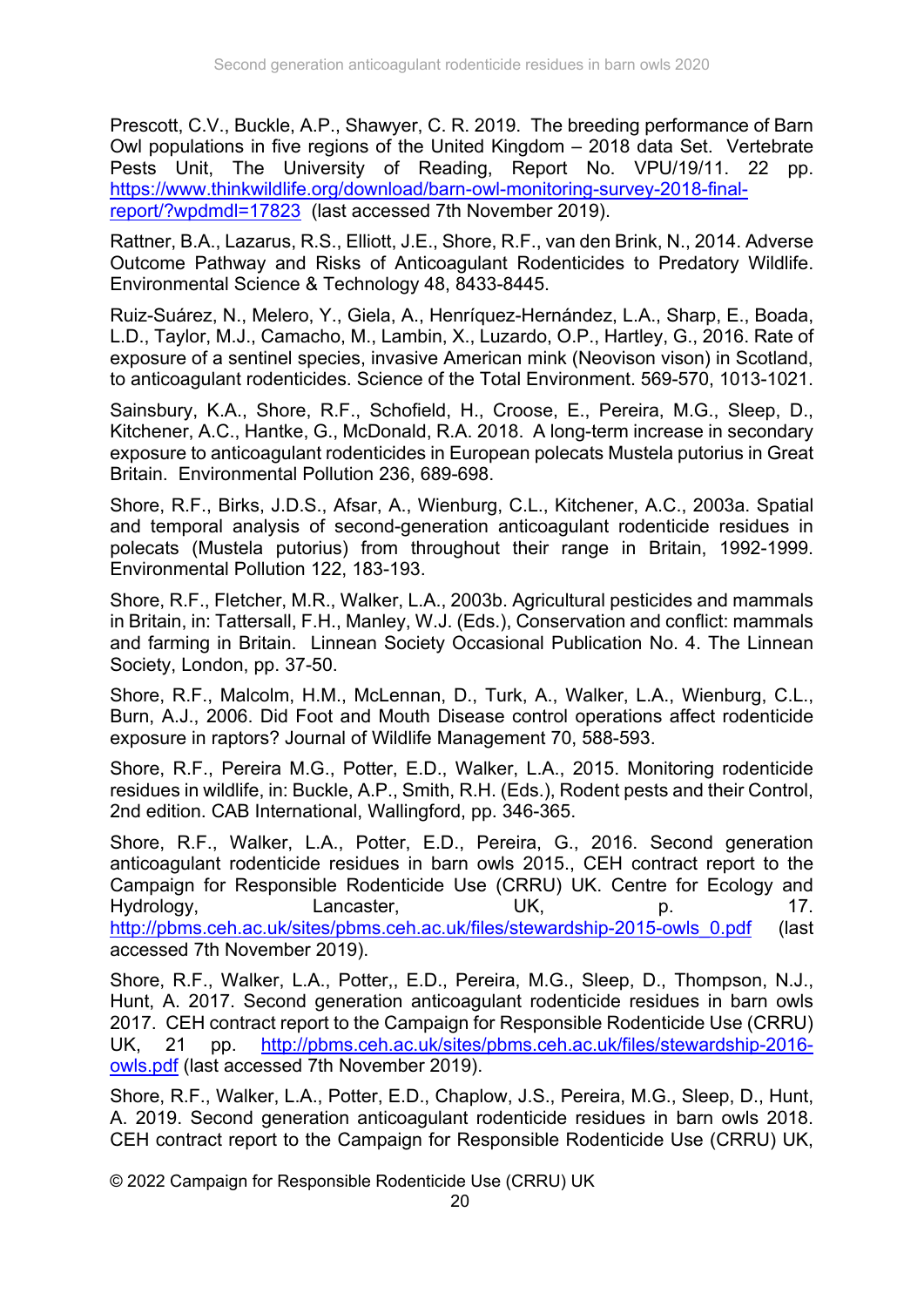Prescott, C.V., Buckle, A.P., Shawyer, C. R. 2019. The breeding performance of Barn Owl populations in five regions of the United Kingdom – 2018 data Set. Vertebrate Pests Unit, The University of Reading, Report No. VPU/19/11. 22 pp. https://www.thinkwildlife.org/download/barn-owl-monitoring-survey-2018-finalreport/?wpdmdl=17823 (last accessed 7th November 2019).

Rattner, B.A., Lazarus, R.S., Elliott, J.E., Shore, R.F., van den Brink, N., 2014. Adverse Outcome Pathway and Risks of Anticoagulant Rodenticides to Predatory Wildlife. Environmental Science & Technology 48, 8433-8445.

Ruiz-Suárez, N., Melero, Y., Giela, A., Henríquez-Hernández, L.A., Sharp, E., Boada, L.D., Taylor, M.J., Camacho, M., Lambin, X., Luzardo, O.P., Hartley, G., 2016. Rate of exposure of a sentinel species, invasive American mink (Neovison vison) in Scotland, to anticoagulant rodenticides. Science of the Total Environment. 569-570, 1013-1021.

Sainsbury, K.A., Shore, R.F., Schofield, H., Croose, E., Pereira, M.G., Sleep, D., Kitchener, A.C., Hantke, G., McDonald, R.A. 2018. A long-term increase in secondary exposure to anticoagulant rodenticides in European polecats Mustela putorius in Great Britain. Environmental Pollution 236, 689-698.

Shore, R.F., Birks, J.D.S., Afsar, A., Wienburg, C.L., Kitchener, A.C., 2003a. Spatial and temporal analysis of second-generation anticoagulant rodenticide residues in polecats (Mustela putorius) from throughout their range in Britain, 1992-1999. Environmental Pollution 122, 183-193.

Shore, R.F., Fletcher, M.R., Walker, L.A., 2003b. Agricultural pesticides and mammals in Britain, in: Tattersall, F.H., Manley, W.J. (Eds.), Conservation and conflict: mammals and farming in Britain. Linnean Society Occasional Publication No. 4. The Linnean Society, London, pp. 37-50.

Shore, R.F., Malcolm, H.M., McLennan, D., Turk, A., Walker, L.A., Wienburg, C.L., Burn, A.J., 2006. Did Foot and Mouth Disease control operations affect rodenticide exposure in raptors? Journal of Wildlife Management 70, 588-593.

Shore, R.F., Pereira M.G., Potter, E.D., Walker, L.A., 2015. Monitoring rodenticide residues in wildlife, in: Buckle, A.P., Smith, R.H. (Eds.), Rodent pests and their Control, 2nd edition. CAB International, Wallingford, pp. 346-365.

Shore, R.F., Walker, L.A., Potter, E.D., Pereira, G., 2016. Second generation anticoagulant rodenticide residues in barn owls 2015., CEH contract report to the Campaign for Responsible Rodenticide Use (CRRU) UK. Centre for Ecology and Hydrology, Lancaster, UK, p. 17. http://pbms.ceh.ac.uk/sites/pbms.ceh.ac.uk/files/stewardship-2015-owls\_0.pdf (last accessed 7th November 2019).

Shore, R.F., Walker, L.A., Potter,, E.D., Pereira, M.G., Sleep, D., Thompson, N.J., Hunt, A. 2017. Second generation anticoagulant rodenticide residues in barn owls 2017. CEH contract report to the Campaign for Responsible Rodenticide Use (CRRU) UK, 21 pp. http://pbms.ceh.ac.uk/sites/pbms.ceh.ac.uk/files/stewardship-2016 owls.pdf (last accessed 7th November 2019).

Shore, R.F., Walker, L.A., Potter, E.D., Chaplow, J.S., Pereira, M.G., Sleep, D., Hunt, A. 2019. Second generation anticoagulant rodenticide residues in barn owls 2018. CEH contract report to the Campaign for Responsible Rodenticide Use (CRRU) UK,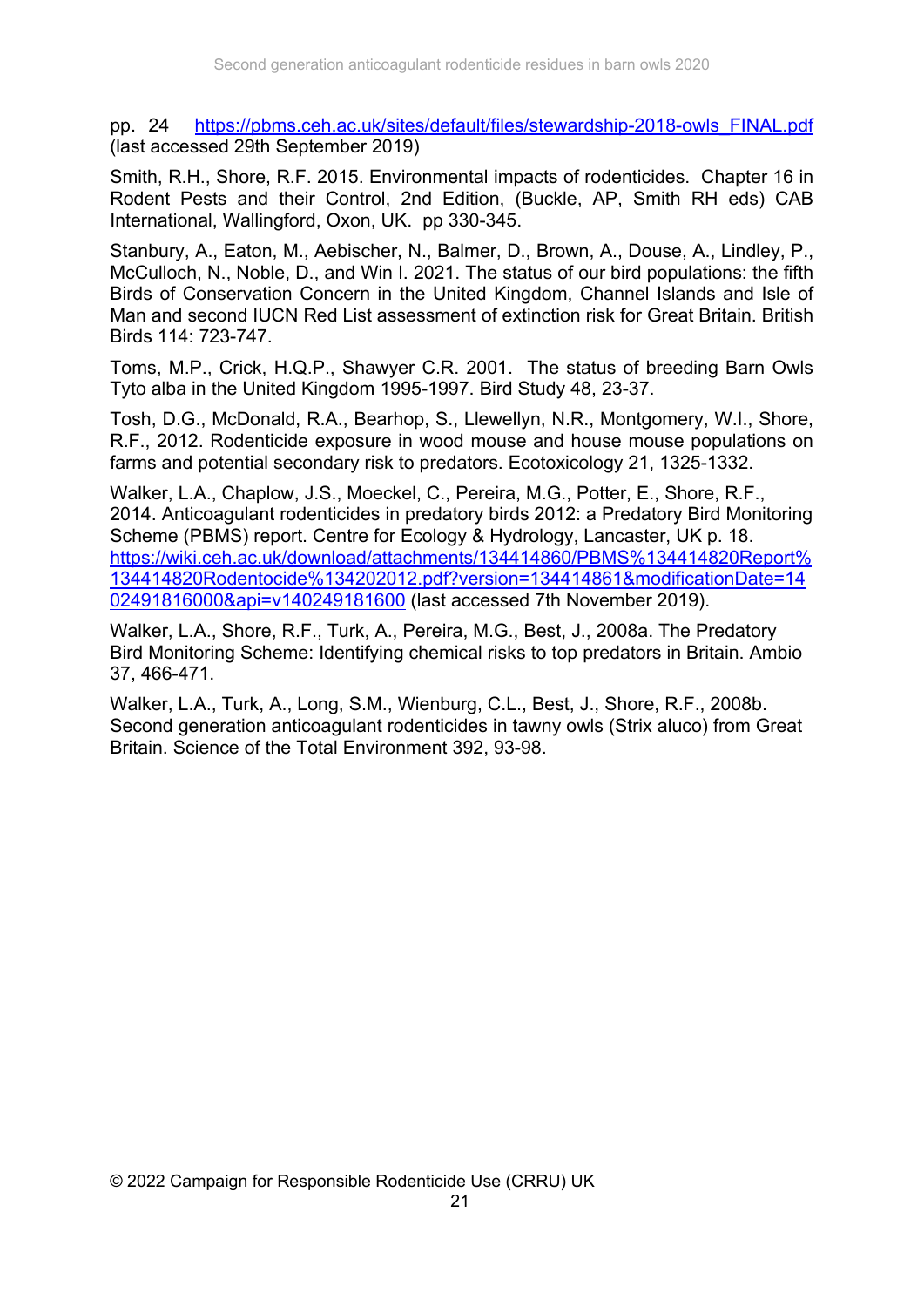pp. 24 https://pbms.ceh.ac.uk/sites/default/files/stewardship-2018-owls\_FINAL.pdf (last accessed 29th September 2019)

Smith, R.H., Shore, R.F. 2015. Environmental impacts of rodenticides. Chapter 16 in Rodent Pests and their Control, 2nd Edition, (Buckle, AP, Smith RH eds) CAB International, Wallingford, Oxon, UK. pp 330-345.

Stanbury, A., Eaton, M., Aebischer, N., Balmer, D., Brown, A., Douse, A., Lindley, P., McCulloch, N., Noble, D., and Win I. 2021. The status of our bird populations: the fifth Birds of Conservation Concern in the United Kingdom, Channel Islands and Isle of Man and second IUCN Red List assessment of extinction risk for Great Britain. British Birds 114: 723-747.

Toms, M.P., Crick, H.Q.P., Shawyer C.R. 2001. The status of breeding Barn Owls Tyto alba in the United Kingdom 1995-1997. Bird Study 48, 23-37.

Tosh, D.G., McDonald, R.A., Bearhop, S., Llewellyn, N.R., Montgomery, W.I., Shore, R.F., 2012. Rodenticide exposure in wood mouse and house mouse populations on farms and potential secondary risk to predators. Ecotoxicology 21, 1325-1332.

Walker, L.A., Chaplow, J.S., Moeckel, C., Pereira, M.G., Potter, E., Shore, R.F., 2014. Anticoagulant rodenticides in predatory birds 2012: a Predatory Bird Monitoring Scheme (PBMS) report. Centre for Ecology & Hydrology, Lancaster, UK p. 18. https://wiki.ceh.ac.uk/download/attachments/134414860/PBMS%134414820Report% 134414820Rodentocide%134202012.pdf?version=134414861&modificationDate=14 02491816000&api=v140249181600 (last accessed 7th November 2019).

Walker, L.A., Shore, R.F., Turk, A., Pereira, M.G., Best, J., 2008a. The Predatory Bird Monitoring Scheme: Identifying chemical risks to top predators in Britain. Ambio 37, 466-471.

Walker, L.A., Turk, A., Long, S.M., Wienburg, C.L., Best, J., Shore, R.F., 2008b. Second generation anticoagulant rodenticides in tawny owls (Strix aluco) from Great Britain. Science of the Total Environment 392, 93-98.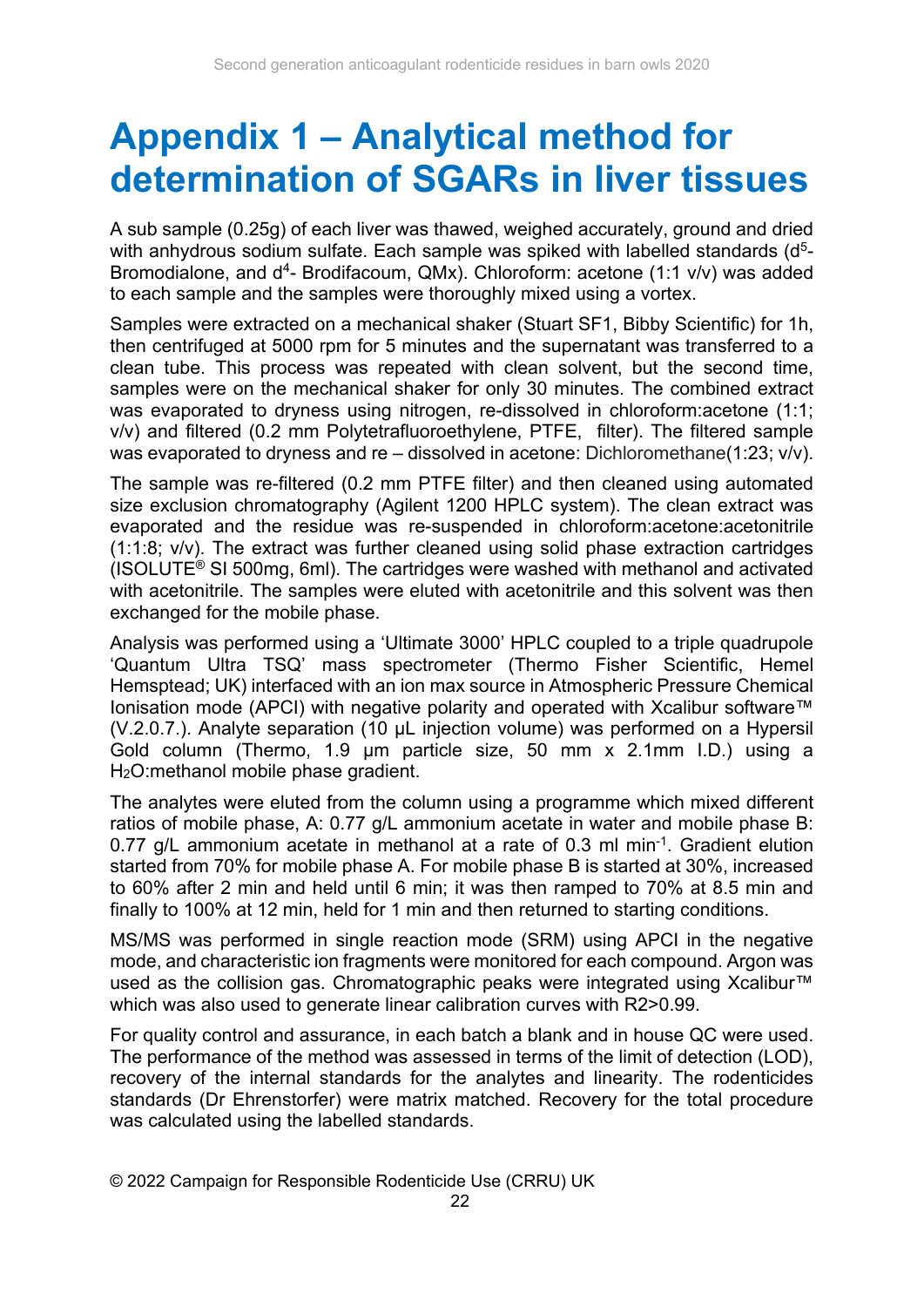## **Appendix 1 – Analytical method for determination of SGARs in liver tissues**

A sub sample (0.25g) of each liver was thawed, weighed accurately, ground and dried with anhydrous sodium sulfate. Each sample was spiked with labelled standards (d<sup>5</sup>-Bromodialone, and d<sup>4</sup>- Brodifacoum, QMx). Chloroform: acetone (1:1 v/v) was added to each sample and the samples were thoroughly mixed using a vortex.

Samples were extracted on a mechanical shaker (Stuart SF1, Bibby Scientific) for 1h, then centrifuged at 5000 rpm for 5 minutes and the supernatant was transferred to a clean tube. This process was repeated with clean solvent, but the second time, samples were on the mechanical shaker for only 30 minutes. The combined extract was evaporated to dryness using nitrogen, re-dissolved in chloroform:acetone (1:1; v/v) and filtered (0.2 mm Polytetrafluoroethylene, PTFE, filter). The filtered sample was evaporated to dryness and re – dissolved in acetone: Dichloromethane(1:23; v/v).

The sample was re-filtered (0.2 mm PTFE filter) and then cleaned using automated size exclusion chromatography (Agilent 1200 HPLC system). The clean extract was evaporated and the residue was re-suspended in chloroform:acetone:acetonitrile (1:1:8; v/v). The extract was further cleaned using solid phase extraction cartridges (ISOLUTE® SI 500mg, 6ml). The cartridges were washed with methanol and activated with acetonitrile. The samples were eluted with acetonitrile and this solvent was then exchanged for the mobile phase.

Analysis was performed using a 'Ultimate 3000' HPLC coupled to a triple quadrupole 'Quantum Ultra TSQ' mass spectrometer (Thermo Fisher Scientific, Hemel Hemsptead; UK) interfaced with an ion max source in Atmospheric Pressure Chemical Ionisation mode (APCI) with negative polarity and operated with Xcalibur software™ (V.2.0.7.). Analyte separation (10 µL injection volume) was performed on a Hypersil Gold column (Thermo, 1.9 µm particle size, 50 mm x 2.1mm I.D.) using a H2O:methanol mobile phase gradient.

The analytes were eluted from the column using a programme which mixed different ratios of mobile phase, A: 0.77 g/L ammonium acetate in water and mobile phase B: 0.77 g/L ammonium acetate in methanol at a rate of 0.3 ml min<sup>-1</sup>. Gradient elution started from 70% for mobile phase A. For mobile phase B is started at 30%, increased to 60% after 2 min and held until 6 min; it was then ramped to 70% at 8.5 min and finally to 100% at 12 min, held for 1 min and then returned to starting conditions.

MS/MS was performed in single reaction mode (SRM) using APCI in the negative mode, and characteristic ion fragments were monitored for each compound. Argon was used as the collision gas. Chromatographic peaks were integrated using Xcalibur<sup>™</sup> which was also used to generate linear calibration curves with R2>0.99.

For quality control and assurance, in each batch a blank and in house QC were used. The performance of the method was assessed in terms of the limit of detection (LOD), recovery of the internal standards for the analytes and linearity. The rodenticides standards (Dr Ehrenstorfer) were matrix matched. Recovery for the total procedure was calculated using the labelled standards.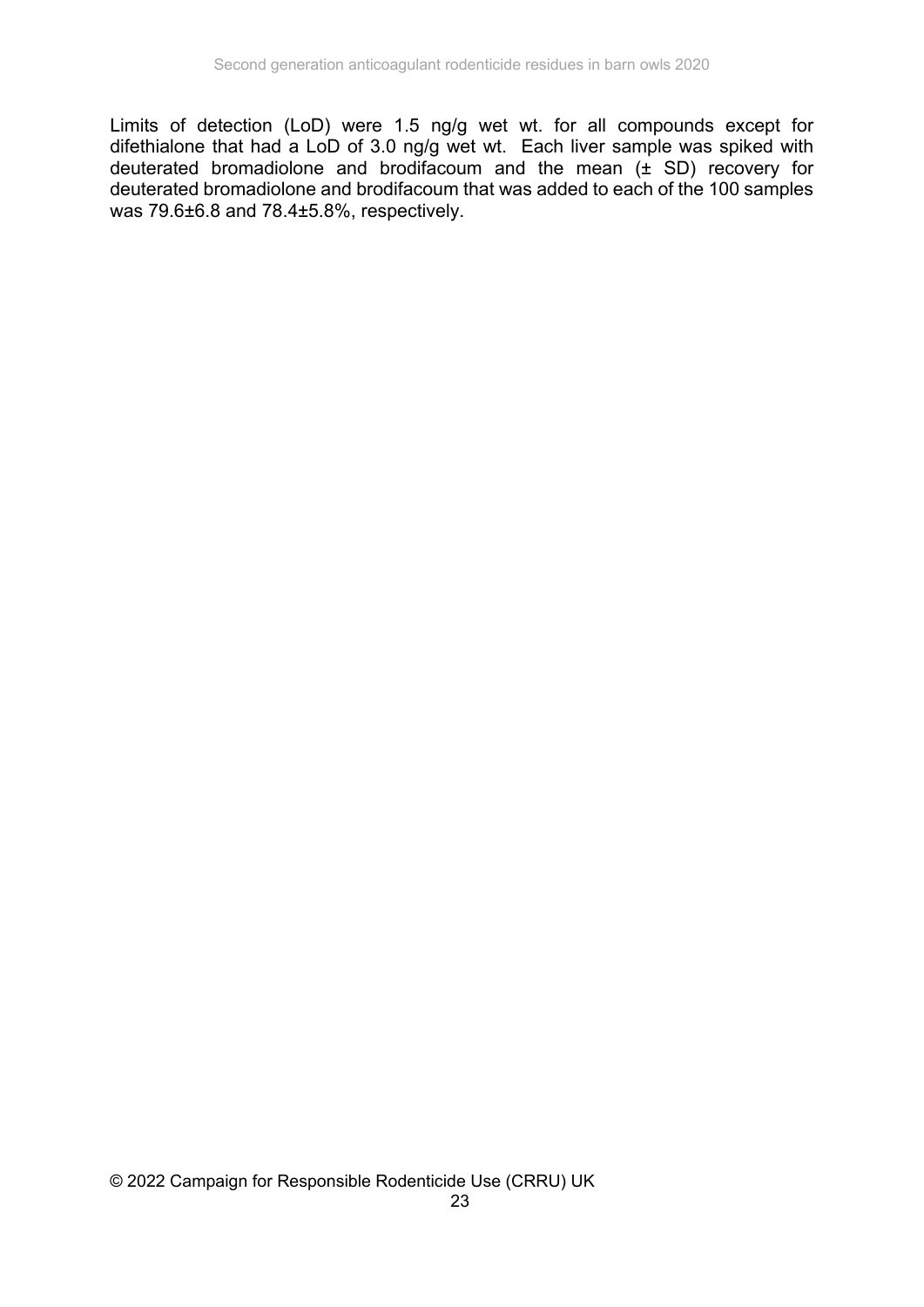Limits of detection (LoD) were 1.5 ng/g wet wt. for all compounds except for difethialone that had a LoD of 3.0 ng/g wet wt. Each liver sample was spiked with deuterated bromadiolone and brodifacoum and the mean  $(\pm$  SD) recovery for deuterated bromadiolone and brodifacoum that was added to each of the 100 samples was 79.6±6.8 and 78.4±5.8%, respectively.